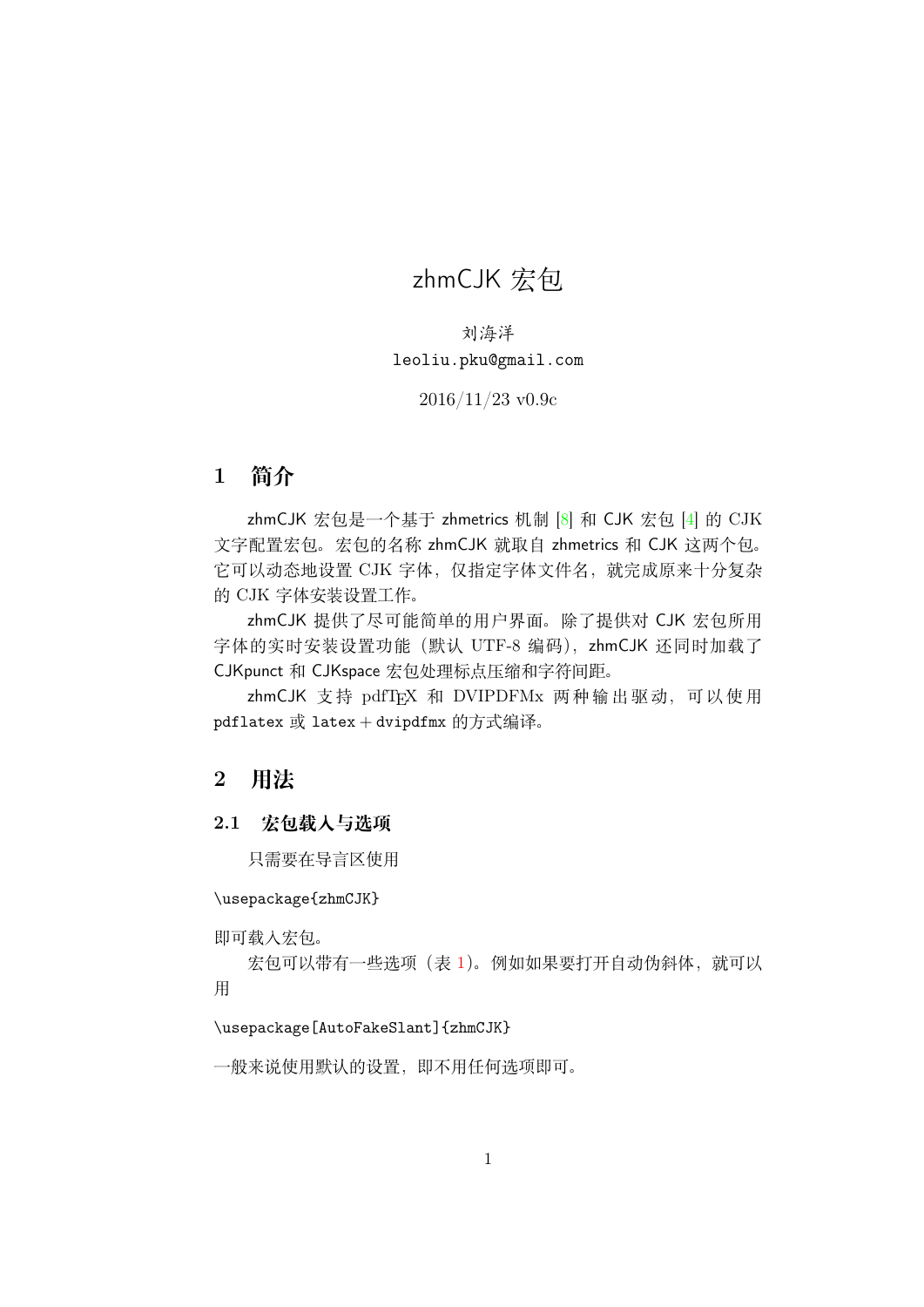# <span id="page-0-0"></span>zhmCJK 宏包

刘海洋 leoliu.pku@gmail.com

#### 2016/11/23 v0.9c

# 1 **简介**

zhmCJK 宏包是一个基于 zhmetrics 机制 [8] 和 CJK 宏包 [4] 的 CJK 文字配置宏包。宏包的名称 zhmCJK 就取自 zhmetrics 和 CJK 这两个包。 它可以动态地设置 CJK 字体,仅指定字体文件名,就完成原来十分复杂 的 CJK 字体安装设置工作。

zhmCJK 提供了尽可能简单的用户界面。除了提供对 CJK 宏包所用 字体的实时安装设置功能(默认 UTF-8 编码), zhmCJK 还同时加载了 CJKpunct 和 CJKspace 宏包处理标点压缩和字符间距。

zhmCJK 支持 pdfTFX 和 DVIPDFMx 两种输出驱动, 可以使用 pdflatex 或 latex + dvipdfmx 的方式编译。

# 2 **用法**

### 2.1 **宏包载入与选项**

只需要在导言区使用

\usepackage{zhmCJK}

即可载入宏包。

宏包可以带有一些选项(表 1)。例如如果要打开自动伪斜体, 就可以 用

#### \usepackage[AutoFakeSlant]{[zh](#page-1-0)mCJK}

一般来说使用默认的设置,即不用任何选项即可。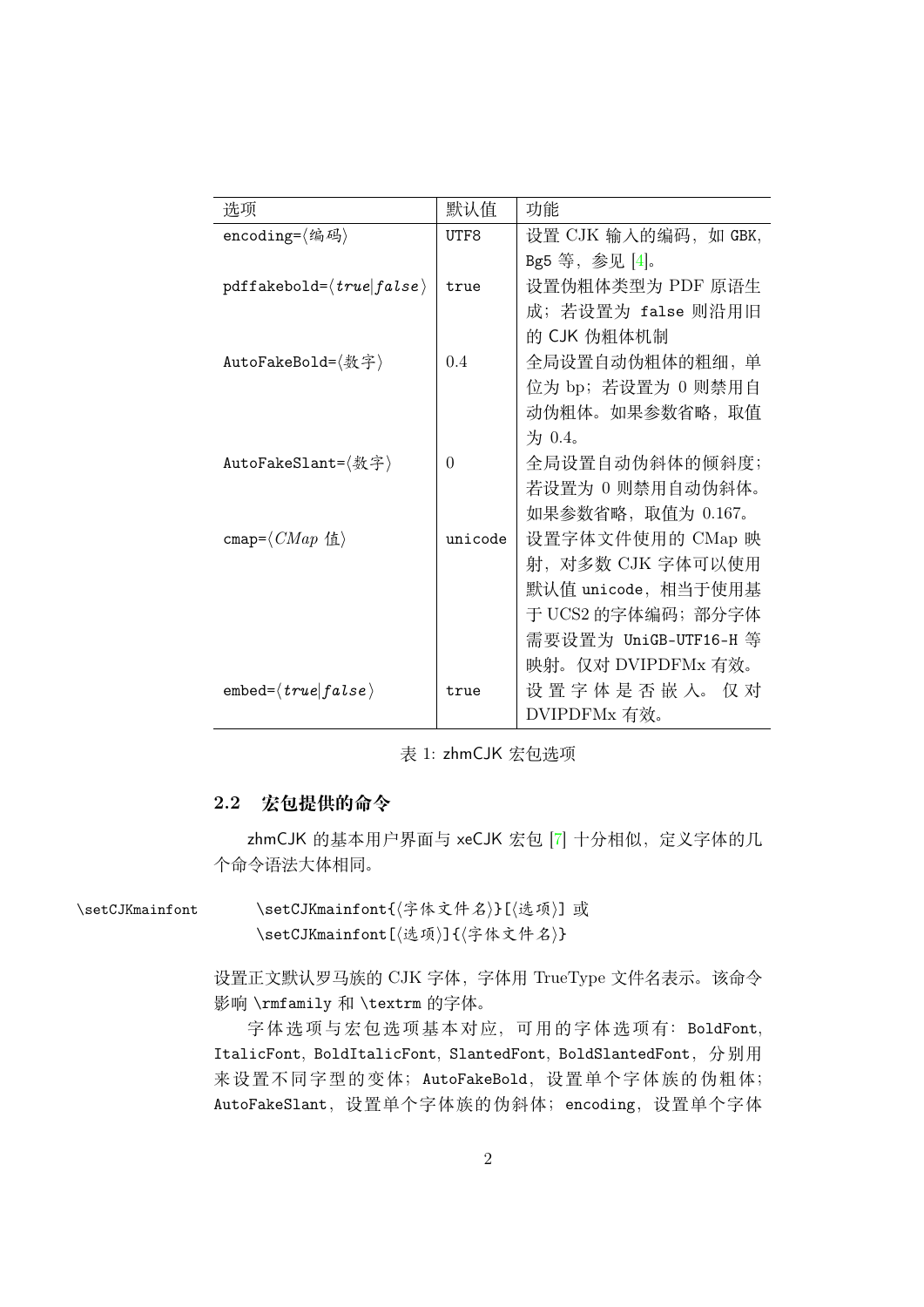| 选项                                             | 默认值            | 功能                    |
|------------------------------------------------|----------------|-----------------------|
| encoding= $\langle $ 编码 $\rangle$              | UTF8           | 设置 CJK 输入的编码,如 GBK,   |
|                                                |                | Bg5 等, 参见 [4]。        |
| $pdffakebold={\langle true false \rangle}$     | true           | 设置伪粗体类型为 PDF 原语生      |
|                                                |                | 成; 若设置为 false 则沿用旧    |
|                                                |                | 的 CJK 伪粗体机制           |
| AutoFakeBold=〈数字〉                              | 0.4            | 全局设置自动伪粗体的粗细, 单       |
|                                                |                | 位为 bp; 若设置为 0 则禁用自    |
|                                                |                | 动伪粗体。如果参数省略, 取值       |
|                                                |                | 为 0.4。                |
| AutoFakeSlant=〈数字〉                             | $\overline{0}$ | 全局设置自动伪斜体的倾斜度;        |
|                                                |                | 若设置为 0 则禁用自动伪斜体。      |
|                                                |                | 如果参数省略, 取值为 0.167。    |
| cmap= $\langle CMap \vert \mathcal{L} \rangle$ | unicode        | 设置字体文件使用的 CMap 映      |
|                                                |                | 射,对多数 CJK 字体可以使用      |
|                                                |                | 默认值 unicode, 相当于使用基   |
|                                                |                | 于 UCS2 的字体编码; 部分字体    |
|                                                |                | 需要设置为 UniGB-UTF16-H 等 |
|                                                |                | 映射。仅对 DVIPDFMx 有效。    |
| $embed={true false}$                           | true           | 设置字体是否嵌入。仅对           |
|                                                |                | DVIPDFMx 有效。          |

<span id="page-1-0"></span>表 1: zhmCJK 宏包选项

#### 2.2 **宏包提供的命令**

zhmCJK 的基本用户界面与 xeCJK 宏包 [7] 十分相似, 定义字体的几 个命令语法大体相同。

\setCJKmainfont \setCJKmainfont{*⟨*字体文件名*⟩*}[*⟨*选项*[⟩](#page-31-1)*] <sup>或</sup> \setCJKmainfont[*⟨*选项*⟩*]{*⟨*字体文件名*⟩*}

> <span id="page-1-1"></span>设置正文默认罗马族的 CJK 字体,字体用 TrueType 文件名表示。该命令 影响 \rmfamily 和 \textrm 的字体。

> 字体选项与宏包选项基本对应,可用的字体选项有:BoldFont, ItalicFont, BoldItalicFont, SlantedFont, BoldSlantedFont,分别用 来设置不同字型的变体; AutoFakeBold, 设置单个字体族的伪粗体; AutoFakeSlant,设置单个字体族的伪斜体;encoding,设置单个字体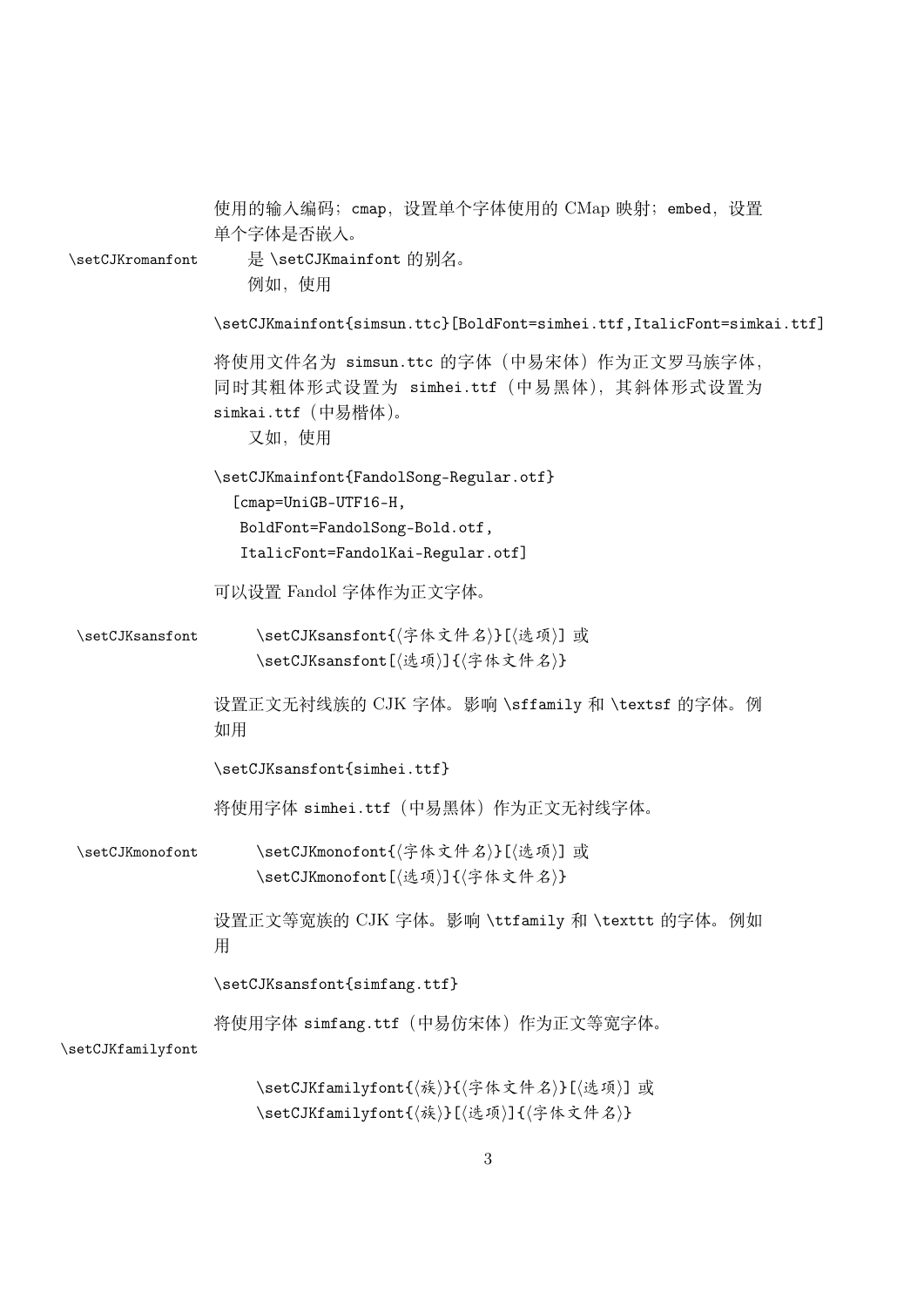<span id="page-2-3"></span><span id="page-2-2"></span><span id="page-2-1"></span><span id="page-2-0"></span>

| \setCJKromanfont  | 使用的输入编码; cmap, 设置单个字体使用的 CMap 映射; embed, 设置<br>单个字体是否嵌入。<br>是 \setCJKmainfont 的别名。<br>例如, 使用                                          |  |  |
|-------------------|---------------------------------------------------------------------------------------------------------------------------------------|--|--|
|                   | \setCJKmainfont{simsun.ttc}[BoldFont=simhei.ttf,ItalicFont=simkai.ttf]                                                                |  |  |
|                   | 将使用文件名为 simsun.ttc 的字体 (中易宋体) 作为正文罗马族字体,<br>同时其粗体形式设置为 simhei.ttf (中易黑体), 其斜体形式设置为<br>simkai.ttf (中易楷体)。<br>又如, 使用                    |  |  |
|                   | \setCJKmainfont{FandolSong-Regular.otf}<br>[cmap=UniGB-UTF16-H,<br>BoldFont=FandolSong-Bold.otf,<br>ItalicFont=FandolKai-Regular.otf] |  |  |
|                   | 可以设置 Fandol 字体作为正文字体。                                                                                                                 |  |  |
| \setCJKsansfont   | \setCJKsansfont{〈字体文件名〉}[〈选项〉] 或<br>\setCJKsansfont[〈选项〉]{〈字体文件名〉}                                                                    |  |  |
|                   | 设置正文无衬线族的 CJK 字体。影响 \sffamily 和 \textsf 的字体。例<br>如用                                                                                   |  |  |
|                   | \setCJKsansfont{simhei.ttf}                                                                                                           |  |  |
|                   | 将使用字体 simhei.ttf(中易黑体)作为正文无衬线字体。                                                                                                      |  |  |
| \setCJKmonofont   | \setCJKmonofont{〈字体文件名〉}[〈选项〉] 或<br>\setCJKmonofont[〈选项〉]{〈字体文件名〉}                                                                    |  |  |
|                   | 设置正文等宽族的 CJK 字体。影响 \ttfamily 和 \texttt 的字体。例如<br>用                                                                                    |  |  |
|                   | \setCJKsansfont{simfang.ttf}                                                                                                          |  |  |
| \setCJKfamilyfont | 将使用字体 simfang.ttf(中易仿宋体)作为正文等宽字体。                                                                                                     |  |  |
|                   | \setCJKfamilyfont{(族)}{(字体文件名)}[(选项)] 或<br>\setCJKfamilyfont{〈族〉}[〈选项〉]{〈字体文件名〉}                                                      |  |  |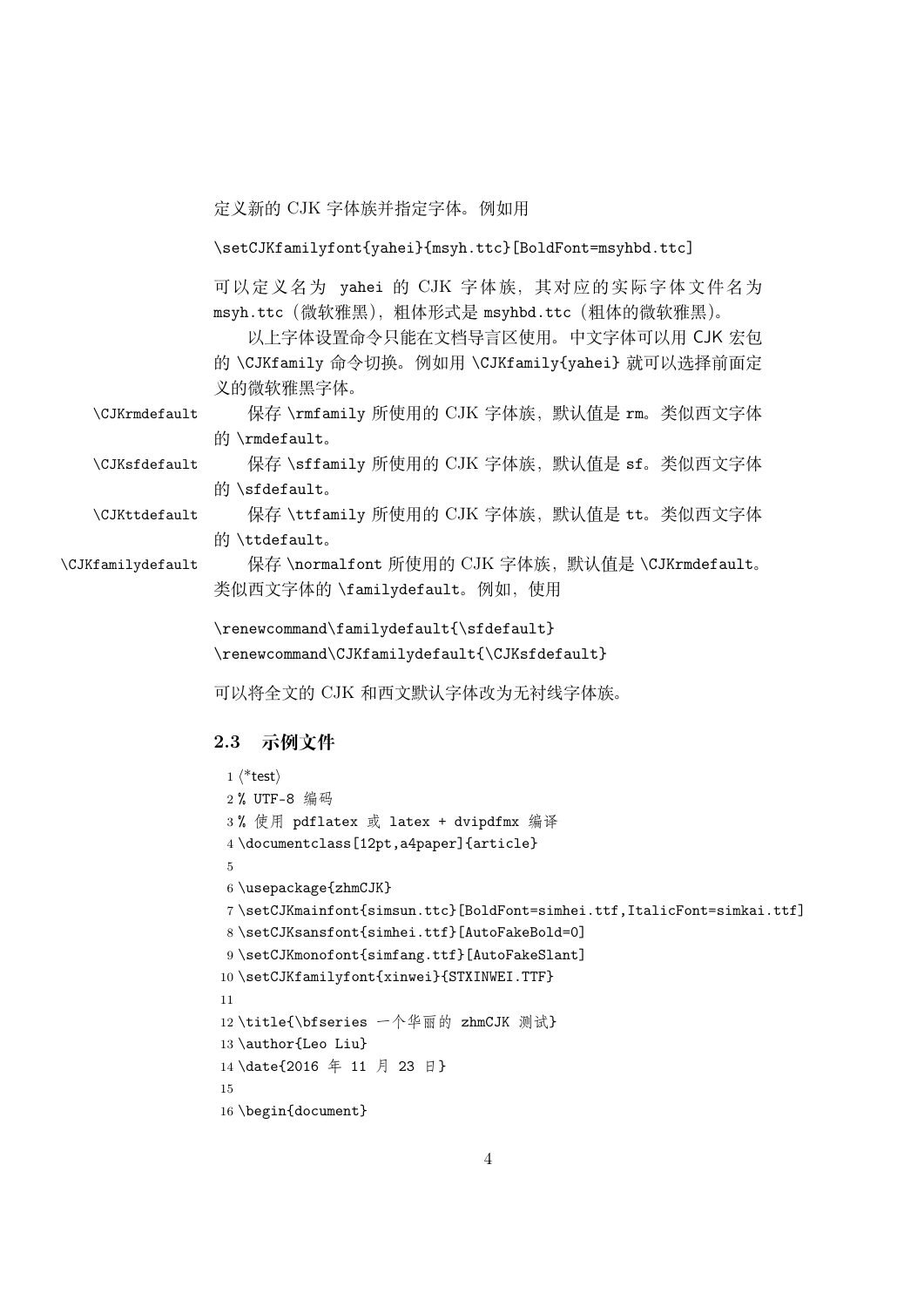定义新的 CJK 字体族并指定字体。例如用

\setCJKfamilyfont{yahei}{msyh.ttc}[BoldFont=msyhbd.ttc]

可以定义名为 yahei 的 CJK 字体族,其对应的实际字体文件名为 msyh.ttc(微软雅黑),粗体形式是 msyhbd.ttc(粗体的微软雅黑)。

<span id="page-3-2"></span><span id="page-3-1"></span>以上字体设置命令只能在文档导言区使用。中文字体可以用 CJK 宏包 的 \CJKfamily 命令切换。例如用 \CJKfamily{yahei} 就可以选择前面定 义的微软雅黑字体。

\CJKrmdefault 保存 \rmfamily 所使用的 CJK 字体族, 默认值是 rm。类似西文字体 的 \rmdefault。

\CJKsfdefault 保存 \sffamily 所使用的 CJK 字体族, 默认值是 sf。类似西文字体 的 \sfdefault。

\CJKttdefault 保存 \ttfamily 所使用的 CJK 字体族, 默认值是 tt。类似西文字体 的 \ttdefault。

\CJKfamilydefault 保存 \normalfont 所使用的 CJK 字体族, 默认值是 \CJKrmdefault。 类似西文字体的 \familydefault。例如,使用

> <span id="page-3-3"></span><span id="page-3-0"></span>\renewcommand\familydefault{\sfdefault} \renewcommand\CJKfamilydefault{\CJKsfdefault}

可以将全文的 CJK 和西文默认字体改为无衬线字体族。

### 2.3 **示例文件**

```
1 ⟨*test⟩
2 % UTF-8 编码
3 % 使用 pdflatex 或 latex + dvipdfmx 编译
4 \documentclass[12pt,a4paper]{article}
5
6 \usepackage{zhmCJK}
7 \setCJKmainfont{simsun.ttc}[BoldFont=simhei.ttf,ItalicFont=simkai.ttf]
8 \setCJKsansfont{simhei.ttf}[AutoFakeBold=0]
9 \setCJKmonofont{simfang.ttf}[AutoFakeSlant]
10 \setCJKfamilyfont{xinwei}{STXINWEI.TTF}
11
12 \title{\bfseries 一个华丽的 zhmCJK 测试}
13 \author{Leo Liu}
14 \date{2016 年 11 月 23 日}
15
16 \begin{document}
```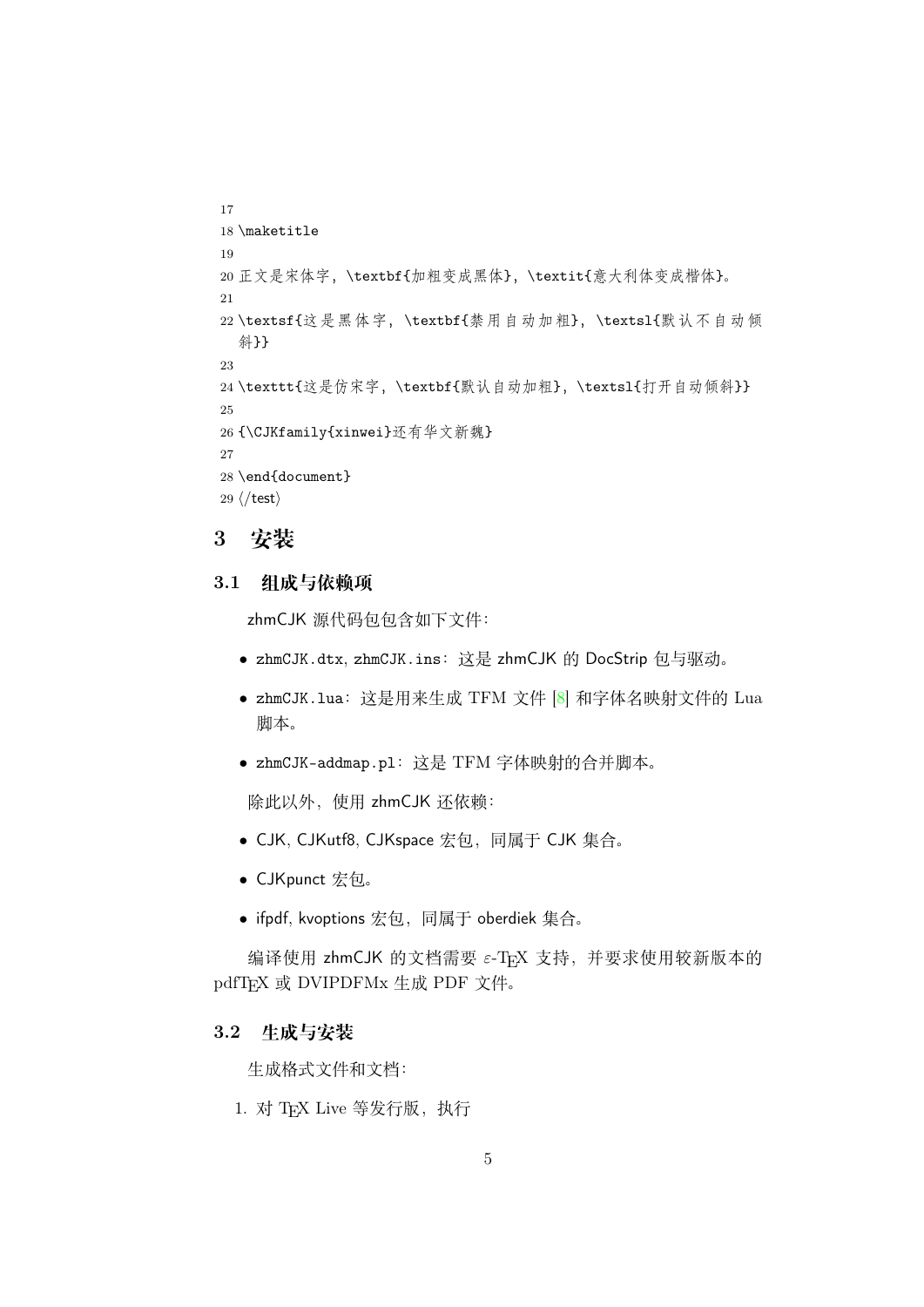```
17
18 \maketitle
19
20 正文是宋体字,\textbf{加粗变成黑体},\textit{意大利体变成楷体}。
21
22 \textsf{这是黑体字,\textbf{禁用自动加粗},\textsl{默认不自动倾
  斜}}
23
24 \texttt{这是仿宋字, \textbf{默认自动加粗}, \textsl{打开自动倾斜}}
25
26 {\CJKfamily{xinwei}还有华文新魏}
27
28 \end{document}
29 ⟨/test⟩
```
### <span id="page-4-0"></span>3 **安装**

#### 3.1 **组成与依赖项**

zhmCJK 源代码包包含如下文件:

- *•* zhmCJK.dtx, zhmCJK.ins:这是 zhmCJK 的 DocStrip 包与驱动。
- *•* zhmCJK.lua:这是用来生成 TFM 文件 [8] 和字体名映射文件的 Lua 脚本。
- *•* zhmCJK-addmap.pl:这是 TFM 字体映[射的](#page-31-2)合并脚本。

除此以外,使用 zhmCJK 还依赖:

- *•* CJK, CJKutf8, CJKspace 宏包,同属于 CJK 集合。
- *•* CJKpunct 宏包。
- *•* ifpdf, kvoptions 宏包,同属于 oberdiek 集合。

编译使用 zhmCJK 的文档需要 ε-TpX 支持, 并要求使用较新版本的 pdfTFX 或 DVIPDFMx 生成 PDF 文件。

#### 3.2 **生成与安装**

生成格式文件和文档:

1. 对 TFX Live 等发行版, 执行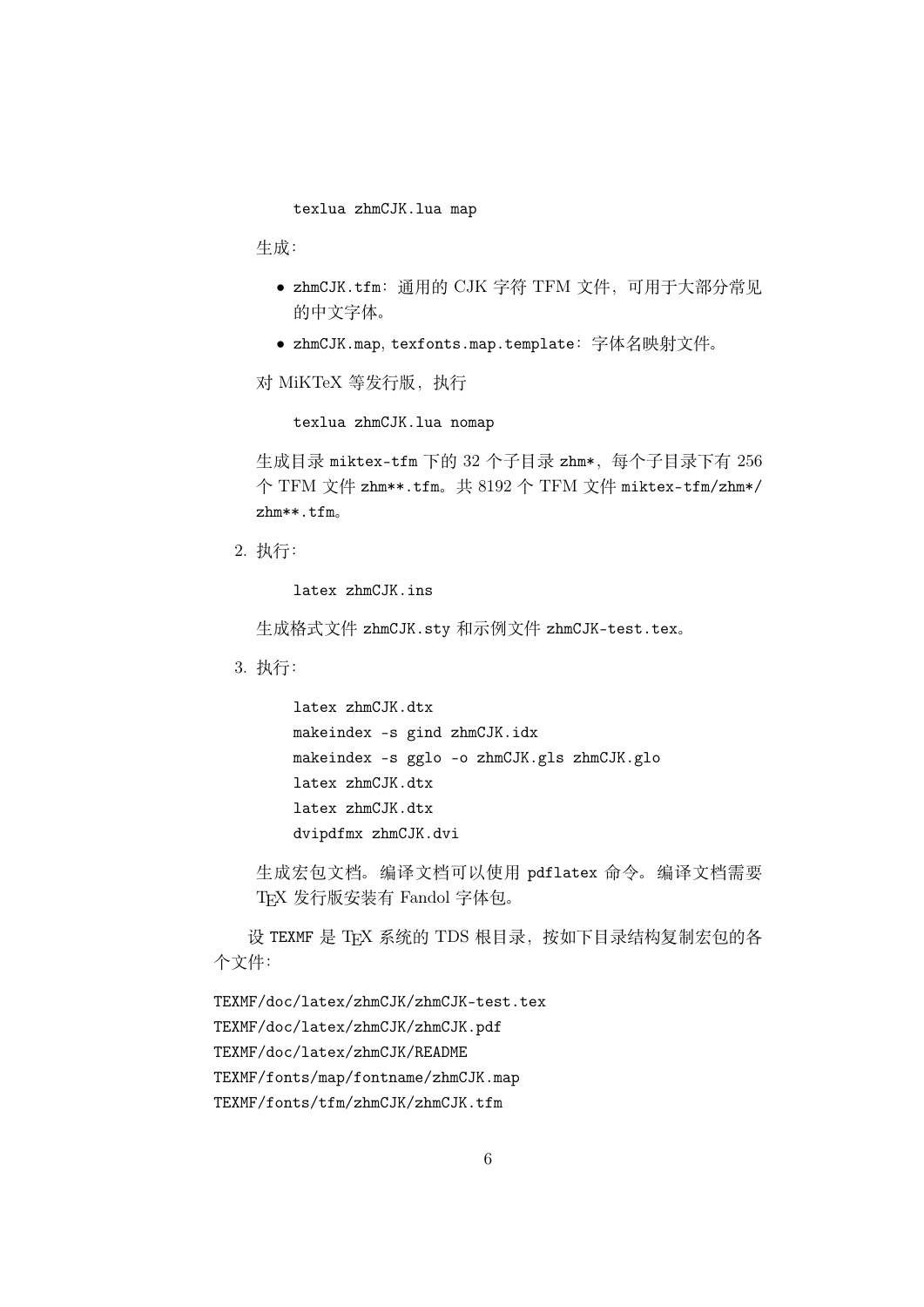texlua zhmCJK.lua map

生成:

- *•* zhmCJK.tfm:通用的 CJK 字符 TFM 文件,可用于大部分常见 的中文字体。
- *•* zhmCJK.map, texfonts.map.template:字体名映射文件。

对 MiKTeX 等发行版,执行

texlua zhmCJK.lua nomap

生成目录 miktex-tfm 下的 32 个子目录 zhm\*, 每个子目录下有 256 个 TFM 文件 zhm\*\*.tfm。共 8192 个 TFM 文件 miktex-tfm/zhm\*/ zhm\*\*.tfm。

2. 执行:

latex zhmCJK.ins

生成格式文件 zhmCJK.sty 和示例文件 zhmCJK-test.tex。

3. 执行:

latex zhmCJK.dtx makeindex -s gind zhmCJK.idx makeindex -s gglo -o zhmCJK.gls zhmCJK.glo latex zhmCJK.dtx latex zhmCJK.dtx dvipdfmx zhmCJK.dvi

生成宏包文档。编译文档可以使用 pdflatex 命令。编译文档需要 TEX 发行版安装有 Fandol 字体包。

设 TEXMF 是 TEX 系统的 TDS 根目录, 按如下目录结构复制宏包的各 个文件:

TEXMF/doc/latex/zhmCJK/zhmCJK-test.tex TEXMF/doc/latex/zhmCJK/zhmCJK.pdf TEXMF/doc/latex/zhmCJK/README TEXMF/fonts/map/fontname/zhmCJK.map TEXMF/fonts/tfm/zhmCJK/zhmCJK.tfm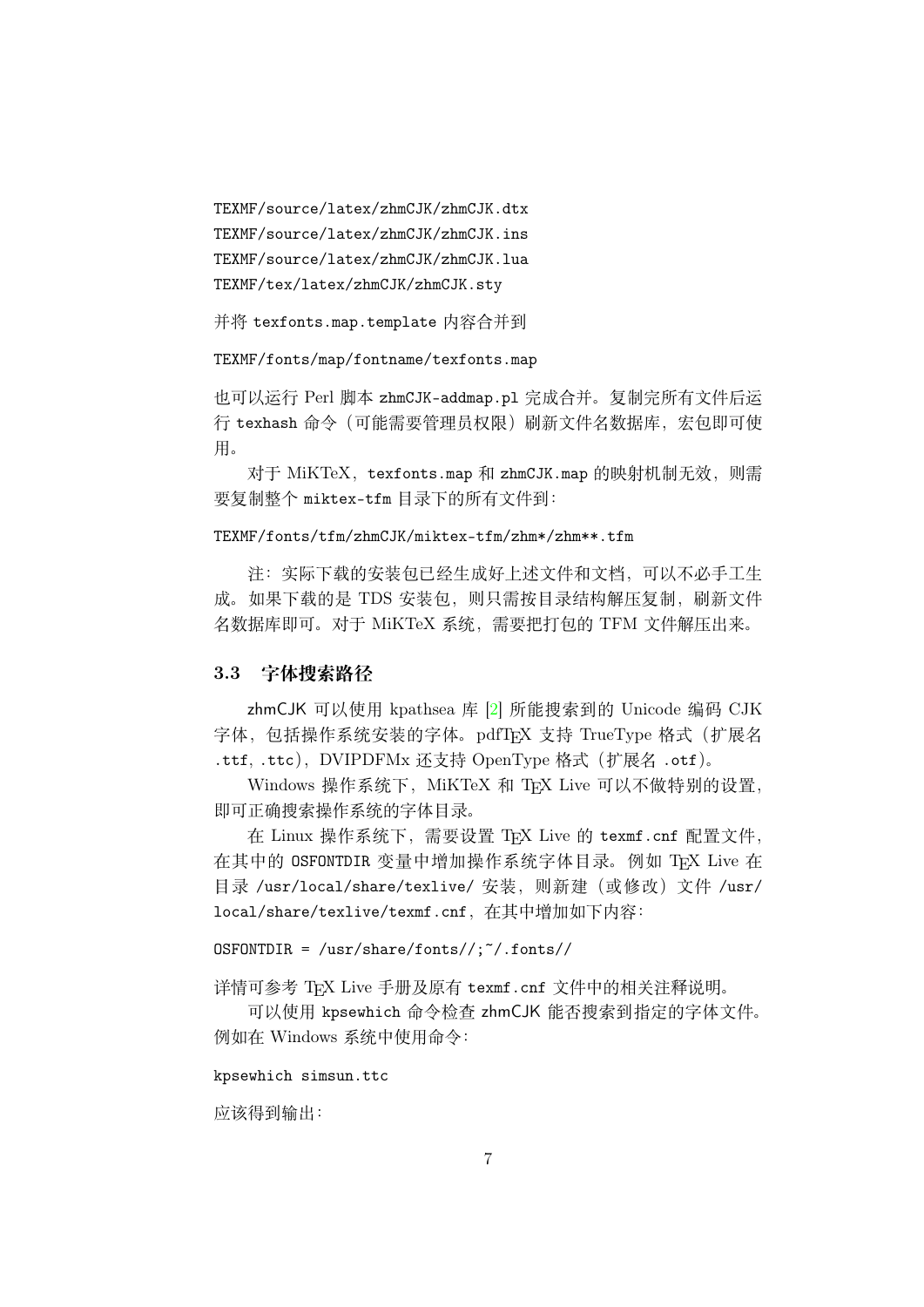TEXMF/source/latex/zhmCJK/zhmCJK.dtx TEXMF/source/latex/zhmCJK/zhmCJK.ins TEXMF/source/latex/zhmCJK/zhmCJK.lua TEXMF/tex/latex/zhmCJK/zhmCJK.sty

并将 texfonts.map.template 内容合并到

TEXMF/fonts/map/fontname/texfonts.map

也可以运行 Perl 脚本 zhmCJK-addmap.pl 完成合并。复制完所有文件后运 行 texhash 命令(可能需要管理员权限)刷新文件名数据库,宏包即可使 用。

对于 MiKTeX, texfonts.map 和 zhmCJK.map 的映射机制无效, 则需 要复制整个 miktex-tfm 目录下的所有文件到:

#### TEXMF/fonts/tfm/zhmCJK/miktex-tfm/zhm\*/zhm\*\*.tfm

注:实际下载的安装包已经生成好上述文件和文档,可以不必手工生 成。如果下载的是 TDS 安装包, 则只需按目录结构解压复制, 刷新文件 名数据库即可。对于 MiKTeX 系统,需要把打包的 TFM 文件解压出来。

#### 3.3 **字体搜索路径**

zhmCJK 可以使用 kpathsea 库 [2] 所能搜索到的 Unicode 编码 CJK 字体,包括操作系统安装的字体。pdfTFX 支持 TrueType 格式 (扩展名 .ttf, .ttc), DVIPDFMx 还支持 OpenType 格式 (扩展名 .otf)。

Windows 操作系统下, MiKTeX [和](#page-31-3) TEX Live 可以不做特别的设置, 即可正确搜索操作系统的字体目录。

在 Linux 操作系统下, 需要设置 TFX Live 的 texmf.cnf 配置文件, 在其中的 OSFONTDIR 变量中增加操作系统字体目录。例如 TFX Live 在 目录 /usr/local/share/texlive/ 安装,则新建(或修改)文件 /usr/ local/share/texlive/texmf.cnf,在其中增加如下内容:

#### $OSFONTDIR = \sqrt{\text{usr}/\text{share}/\text{fonts}/\sqrt{\cdot}}$ .fonts//

详情可参考 TEX Live 手册及原有 texmf.cnf 文件中的相关注释说明。

可以使用 kpsewhich 命令检查 zhmCJK 能否搜索到指定的字体文件。 例如在 Windows 系统中使用命令:

#### kpsewhich simsun.ttc

应该得到输出: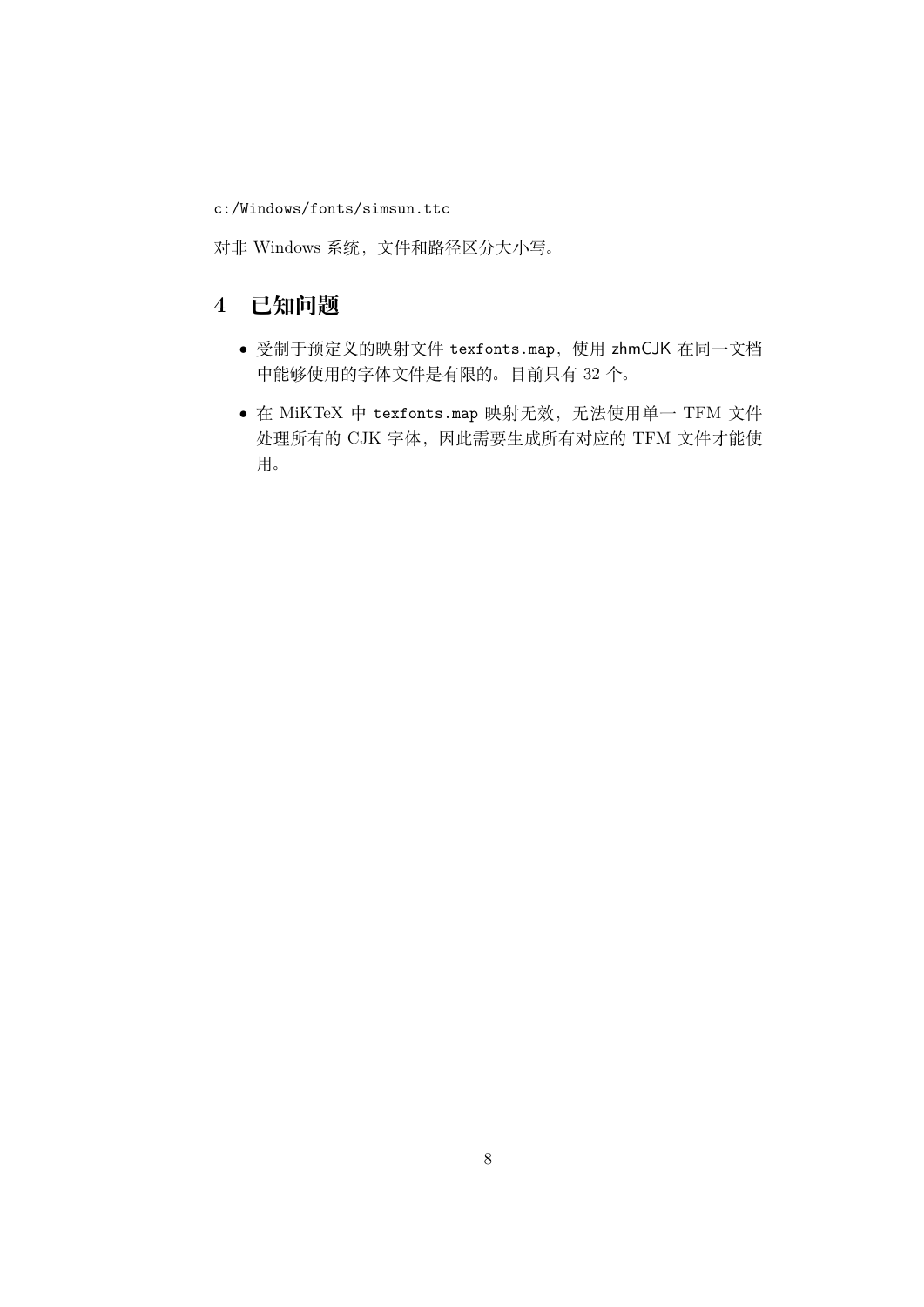c:/Windows/fonts/simsun.ttc

对非 Windows 系统,文件和路径区分大小写。

# 4 **已知问题**

- *•* 受制于预定义的映射文件 texfonts.map,使用 zhmCJK 在同一文档 中能够使用的字体文件是有限的。目前只有 32 个。
- 在 MiKTeX 中 texfonts.map 映射无效, 无法使用单一 TFM 文件 处理所有的 CJK 字体,因此需要生成所有对应的 TFM 文件才能使 用。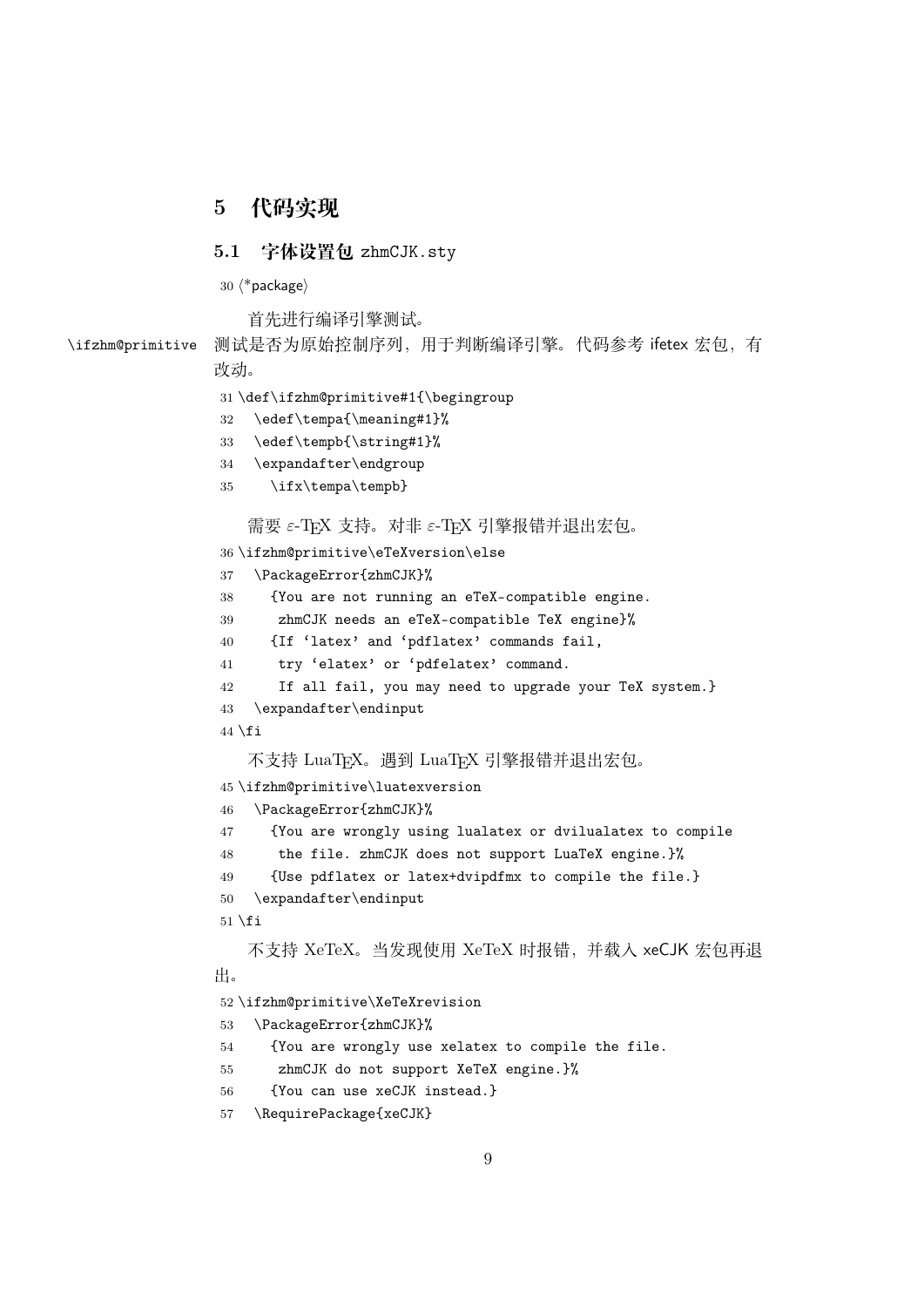### <span id="page-8-0"></span>**代码实现**

#### 5.1 **字体设置包** zhmCJK.sty

*⟨*\*package*⟩*

首先进行编译引擎测试。

\ifzhm@primitive 测试是否为原始控制序列,用于判断编译引擎。代码参考 ifetex 宏包,有 改动。

```
31 \def\ifzhm@primitive#1{\begingroup
32 \edef\tempa{\meaning#1}%
33 \edef\tempb{\string#1}%
34 \expandafter\endgroup
35 \ifx\tempa\tempb}
   需要 ε-TFX 支持。对非 ε-TFX 引擎报错并退出宏包。
36 \ifzhm@primitive\eTeXversion\else
37 \PackageError{zhmCJK}%
38 {You are not running an eTeX-compatible engine.
39 zhmCJK needs an eTeX-compatible TeX engine}%
40 {If 'latex' and 'pdflatex' commands fail,
41 try 'elatex' or 'pdfelatex' command.
42 If all fail, you may need to upgrade your TeX system.}
43 \expandafter\endinput
44 \setminus fi不支持 LuaTFX。遇到 LuaTFX 引擎报错并退出宏包。
45 \ifzhm@primitive\luatexversion
46 \PackageError{zhmCJK}%
47 {You are wrongly using lualatex or dvilualatex to compile
48 the file. zhmCJK does not support LuaTeX engine.}%
49 {Use pdflatex or latex+dvipdfmx to compile the file.}
50 \expandafter\endinput
51 \setminus fi不支持 XeTeX。当发现使用 XeTeX 时报错,并载入 xeCJK 宏包再退
出。
52 \ifzhm@primitive\XeTeXrevision
53 \PackageError{zhmCJK}%
54 {You are wrongly use xelatex to compile the file.
55 zhmCJK do not support XeTeX engine.}%
56 {You can use xeCJK instead.}
57 \RequirePackage{xeCJK}
```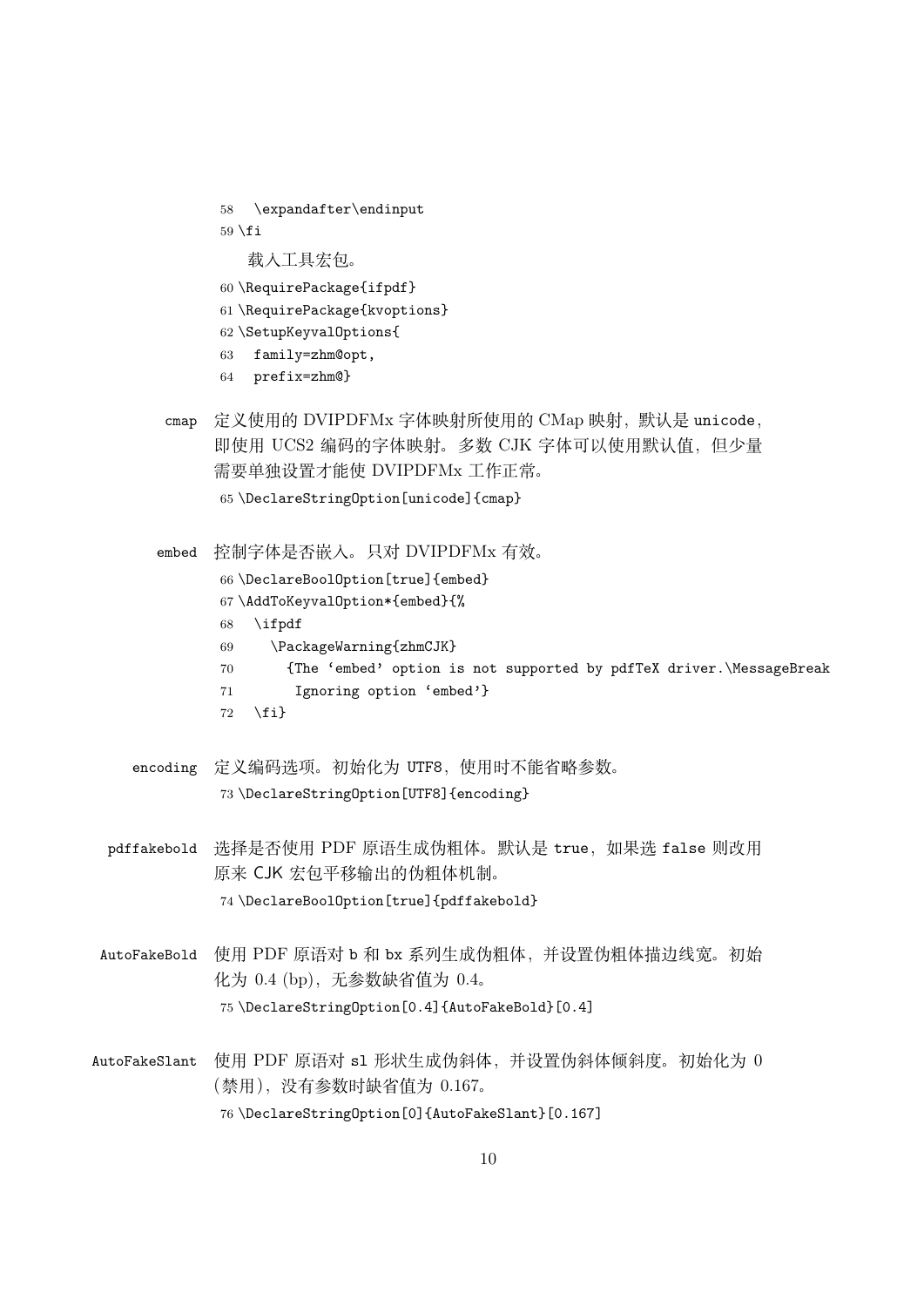<span id="page-9-0"></span>58 \expandafter\endinput  $59 \setminus fi$ 载入工具宏包。

60 \RequirePackage{ifpdf}

- 61 \RequirePackage{kvoptions}
- 62 \SetupKeyvalOptions{
- 63 family=zhm@opt,
- <span id="page-9-2"></span>64 prefix=zhm@}
- cmap 定义使用的 DVIPDFMx 字体映射所使用的 CMap 映射,默认是 unicode, 即使用 UCS2 编码的字体映射。多数 CJK 字体可以使用默认值,但少量 需要单独设置才能使 DVIPDFMx 工作正常。 65 \DeclareStringOption[unicode]{cmap}
- <span id="page-9-3"></span>embed 控制字体是否嵌入。只对 DVIPDFMx 有效。 66 \DeclareBoolOption[true]{embed} 67 \AddToKeyvalOption\*{embed}{% 68 \ifpdf 69 \PackageWarning{zhmCJK} 70 {The 'embed' option is not supported by pdfTeX driver.\MessageBreak 71 Ignoring option 'embed'} 72 \fi}
- <span id="page-9-4"></span>encoding 定义编码选项。初始化为 UTF8,使用时不能省略参数。 73 \DeclareStringOption[UTF8]{encoding}
- pdffakebold 选择是否使用 PDF 原语生成伪粗体。默认是 true, 如果选 false 则改用 原来 CJK 宏包平移输出的伪粗体机制。 74 \DeclareBoolOption[true]{pdffakebold}
- <span id="page-9-1"></span>AutoFakeBold 使用 PDF 原语对 b 和 bx 系列生成伪粗体,并设置伪粗体描边线宽。初始 化为 0.4 (bp), 无参数缺省值为 0.4。 75 \DeclareStringOption[0.4]{AutoFakeBold}[0.4]
- AutoFakeSlant 使用 PDF 原语对 sl 形状生成伪斜体,并设置伪斜体倾斜度。初始化为 0 (禁用),没有参数时缺省值为 0.167。 76 \DeclareStringOption[0]{AutoFakeSlant}[0.167]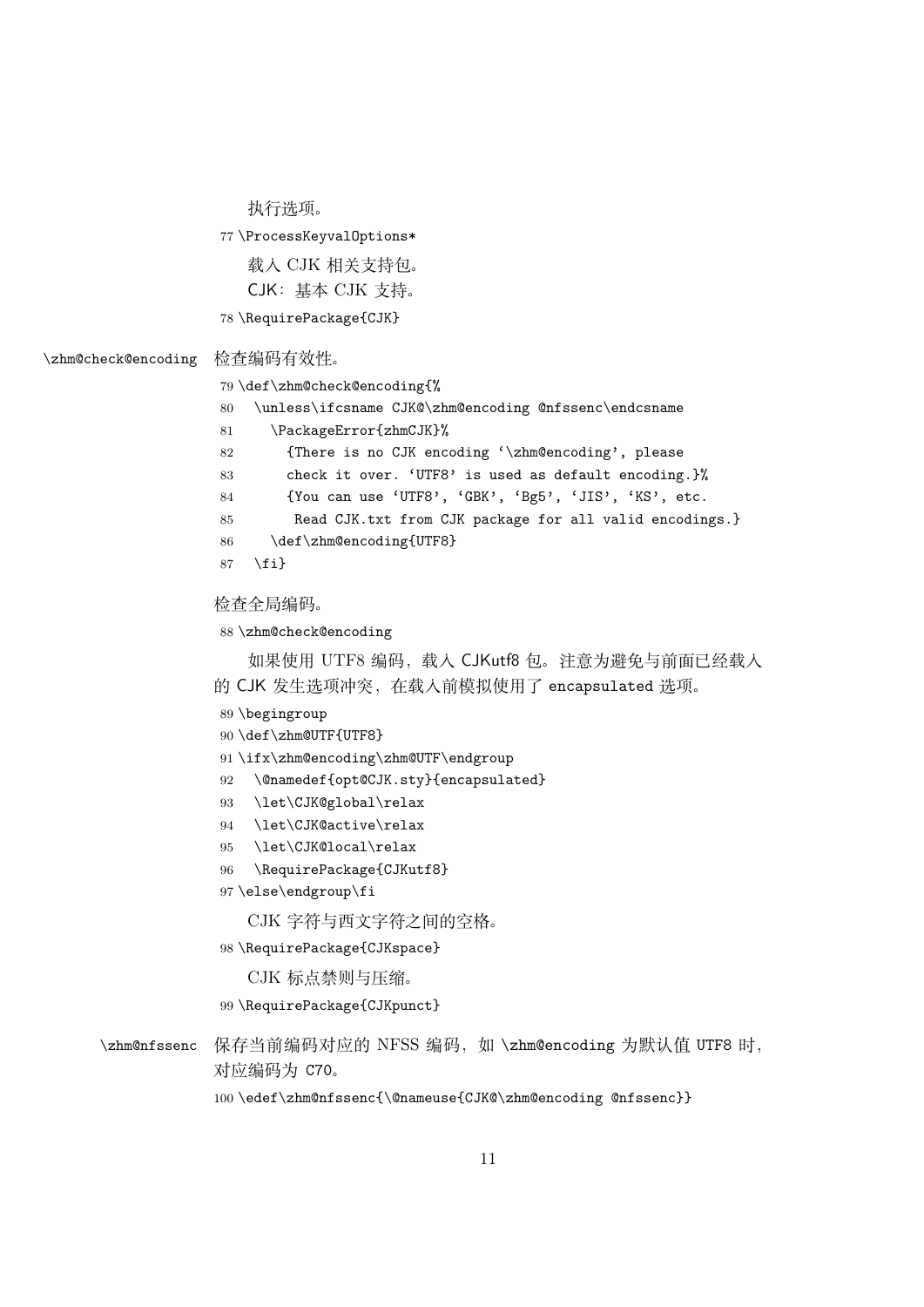执行选项。

\ProcessKeyvalOptions\*

载入 CJK 相关支持包。 CJK:基本 CJK 支持。

\RequirePackage{CJK}

#### <span id="page-10-2"></span>\zhm@check@encoding 检查编码有效性。

\def\zhm@check@encoding{%

<span id="page-10-4"></span>\unless\ifcsname CJK@\zhm@encoding @nfssenc\endcsname

```
81 \PackageError{zhmCJK}%
82 {There is no CJK encoding '\zhm@encoding', please
```
- check it over. 'UTF8' is used as default encoding.}%
- 84 {You can use 'UTF8', 'GBK', 'Bg5', 'JIS', 'KS', etc.
- Read CJK.txt from CJK package for all valid encodings.}
- <span id="page-10-6"></span>86 \def\zhm@encoding{UTF8}
- \fi}

#### 检查全局编码。

<span id="page-10-3"></span>\zhm@check@encoding

如果使用 UTF8 编码,载入 CJKutf8 包。注意为避免与前面已经载入 的 CJK 发生选项冲突,在载入前模拟使用了 encapsulated 选项。

- \begingroup
- \def\zhm@UTF{UTF8}
- <span id="page-10-7"></span>\ifx\zhm@encoding\zhm@UTF\endgroup
- \@namedef{opt@CJK.sty}{encapsulated}
- <span id="page-10-0"></span>\let\CJK@global\relax
- \let\CJK@active\relax
- <span id="page-10-1"></span>\let\CJK@local\relax
- \RequirePackage{CJKutf8}
- \else\endgroup\fi

CJK 字符与西文字符之间的空格。

\RequirePackage{CJKspace}

CJK 标点禁则与压缩。

<span id="page-10-8"></span>\RequirePackage{CJKpunct}

- \zhm@nfssenc 保存当前编码对应的 NFSS 编码, 如 \zhm@encoding 为默认值 UTF8 时, 对应编码为 C70。
	- \edef\zhm@nfssenc{\@nameuse{CJK@\zhm@encoding @nfssenc}}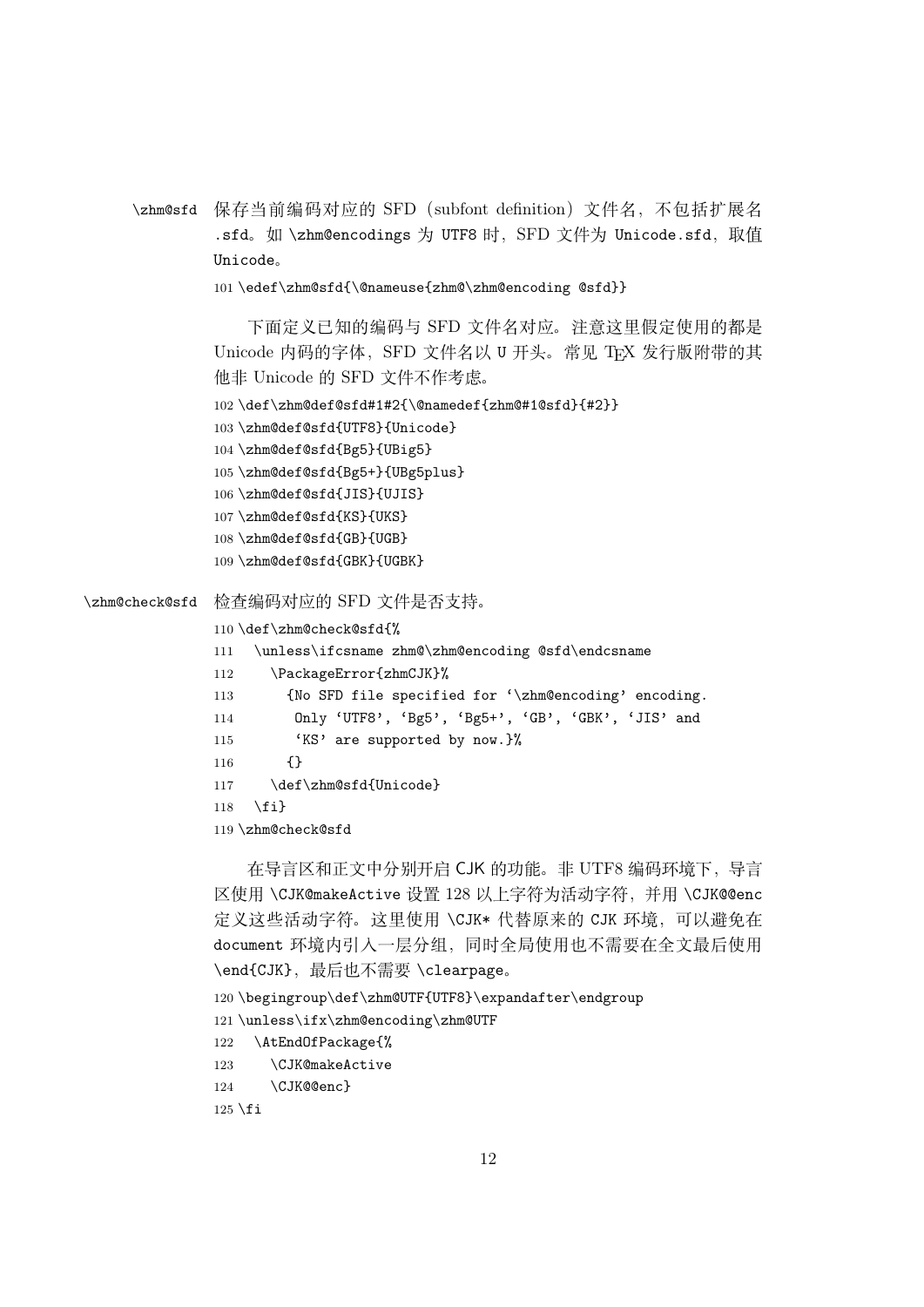<span id="page-11-11"></span><span id="page-11-0"></span>\zhm@sfd 保存当前编码对应的 SFD(subfont definition)文件名,不包括扩展名 .sfd。如 \zhm@encodings 为 UTF8 时, SFD 文件为 Unicode.sfd, 取值 Unicode。

```
101 \edef\zhm@sfd{\@nameuse{zhm@\zhm@encoding @sfd}}
```
下面定义已知的编码与 SFD 文件名对应。注意这里假定使用的都是 Unicode 内码的字体, SFD 文件名以 U 开头。常见 TFX 发行版附带的其 他非 Unicode 的 SFD 文件不作考虑。

```
102 \def\zhm@def@sfd#1#2{\@namedef{zhm@#1@sfd}{#2}}
```
<span id="page-11-4"></span>103 \zhm@def@sfd{UTF8}{Unicode}

```
104 \zhm@def@sfd{Bg5}{UBig5}
```
<span id="page-11-6"></span>105 \zhm@def@sfd{Bg5+}{UBg5plus}

```
106 \zhm@def@sfd{JIS}{UJIS}
```
107 \zhm@def@sfd{KS}{UKS}

108 \zhm@def@sfd{GB}{UGB}

109 \zhm@def@sfd{GBK}{UGBK}

<span id="page-11-2"></span>\zhm@check@sfd 检查编码对应的 SFD 文件是否支持。

```
110 \def\zhm@check@sfd{%
```
<span id="page-11-9"></span><span id="page-11-8"></span>111 \unless\ifcsname zhm@\zhm@encoding @sfd\endcsname 112 \PackageError{zhmCJK}% 113 {No SFD file specified for '\zhm@encoding' encoding. 114 Only 'UTF8', 'Bg5', 'Bg5+', 'GB', 'GBK', 'JIS' and 115 'KS' are supported by now.}% 116 {} 117 \def\zhm@sfd{Unicode}

<span id="page-11-12"></span>118  $\{f_i\}$ 

```
119 \zhm@check@sfd
```
在导言区和正文中分别开启 CJK 的功能。非 UTF8 编码环境下,导言 区使用 \CJK@makeActive 设置 128 以上字符为活动字符,并用 \CJK@@enc 定义这些活动字符。这里使用 \CJK\* 代替原来的 CJK 环境,可以避免在 document 环境内引入一层分组,同时全局使用也不需要在全文最后使用 \end{CJK},最后也不需要 \clearpage。

```
120 \begingroup\def\zhm@UTF{UTF8}\expandafter\endgroup
```
<span id="page-11-10"></span>121 \unless\ifx\zhm@encoding\zhm@UTF

- 122 \AtEndOfPackage{%
- <span id="page-11-1"></span>123 \CJK@makeActive
- 124 \CJK@@enc}

```
125 \setminus fi
```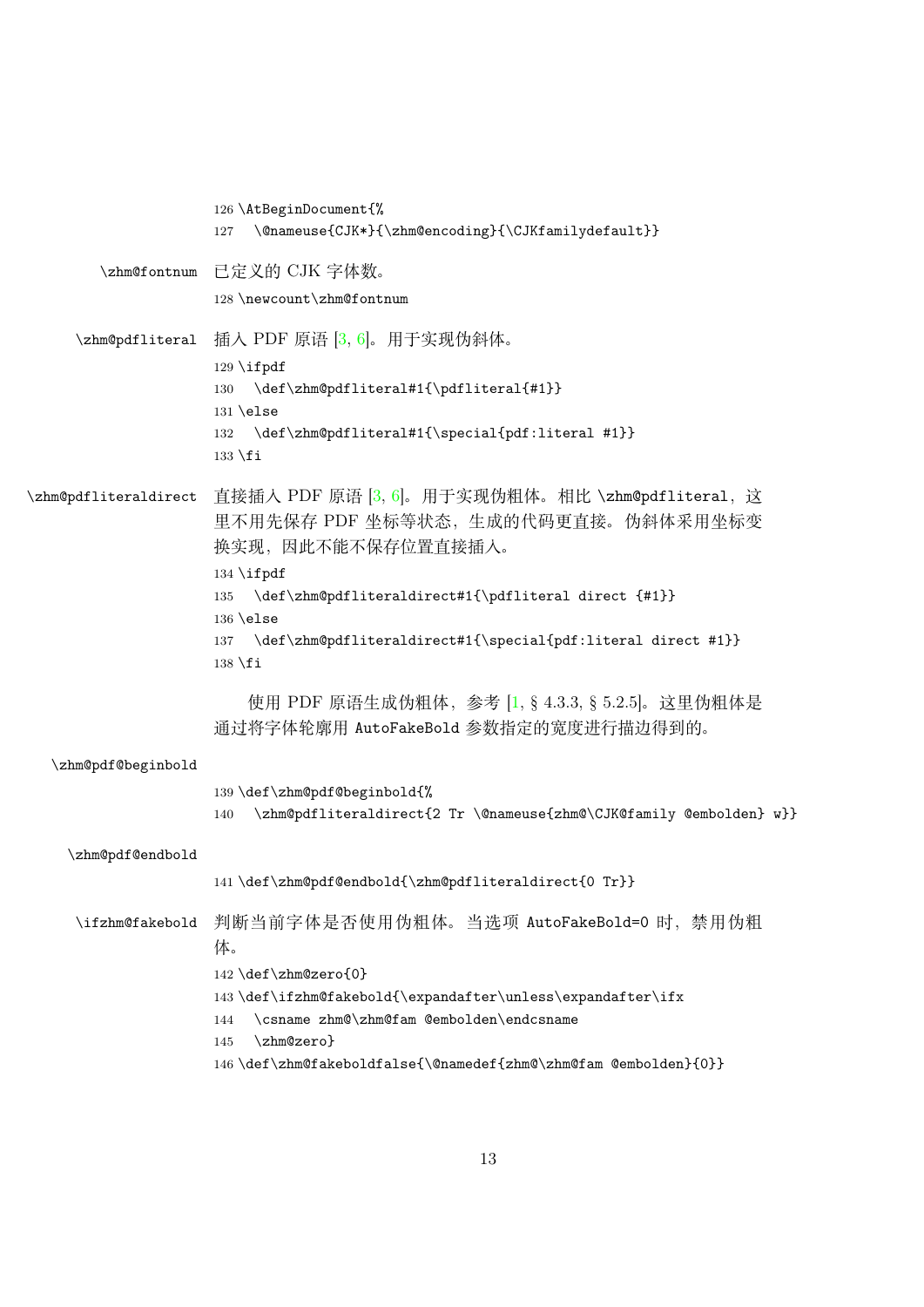<span id="page-12-14"></span><span id="page-12-13"></span><span id="page-12-12"></span><span id="page-12-11"></span><span id="page-12-10"></span><span id="page-12-9"></span><span id="page-12-8"></span><span id="page-12-7"></span><span id="page-12-6"></span><span id="page-12-5"></span><span id="page-12-4"></span><span id="page-12-3"></span><span id="page-12-2"></span><span id="page-12-1"></span><span id="page-12-0"></span>

|                       | 126 \AtBeginDocument{%                                                                                                             |
|-----------------------|------------------------------------------------------------------------------------------------------------------------------------|
|                       | \@nameuse{CJK*}{\zhm@encoding}{\CJKfamilydefault}}<br>127                                                                          |
| \zhm@fontnum          | - 已定义的 CJK 字体数。                                                                                                                    |
|                       | 128 \newcount\zhm@fontnum                                                                                                          |
|                       | \zhm@pdfliteral 插入 PDF 原语 [3, 6]。用于实现伪斜体。                                                                                          |
|                       | \def\zhm@pdfliteral#1{\pdfliteral{#1}}<br>130<br>$131$ \else                                                                       |
|                       | 132 \def\zhm@pdfliteral#1{\special{pdf:literal #1}}<br>$133 \text{ t}$                                                             |
| \zhm@pdfliteraldirect | 直接插入 PDF 原语 [3, 6]。用于实现伪粗体。相比 \zhm@pdfliteral, 这<br>里不用先保存 PDF 坐标等状态,生成的代码更直接。伪斜体采用坐标变<br>换实现,因此不能不保存位置直接插入。<br>$134 \text{ifpdf}$ |
|                       | \def\zhm@pdfliteraldirect#1{\pdfliteral direct {#1}}<br>135                                                                        |
|                       | $136$ \else<br>137 \def\zhm@pdfliteraldirect#1{\special{pdf:literal direct #1}}<br>$138 \text{ t}$                                 |
|                       | 使用 PDF 原语生成伪粗体, 参考 [1, § 4.3.3, § 5.2.5]。这里伪粗体是<br>通过将字体轮廓用 AutoFakeBo1d 参数指定的宽度进行描边得到的。                                           |
| \zhm@pdf@beginbold    |                                                                                                                                    |
|                       | 139 \def\zhm@pdf@beginbold{%<br>\zhm@pdfliteraldirect{2 Tr \@nameuse{zhm@\CJK@family @embolden} w}}<br>140                         |
| \zhm@pdf@endbold      |                                                                                                                                    |
|                       | 141 \def\zhm@pdf@endbold{\zhm@pdfliteraldirect{0 Tr}}                                                                              |
| \ifzhm@fakebold       | 判断当前字体是否使用伪粗体。当选项 AutoFakeBold=0 时, 禁用伪粗<br>体。                                                                                     |
|                       | 142 \def\zhm@zero{0}                                                                                                               |
|                       | 143\def\ifzhm@fakebold{\expandafter\unless\expandafter\ifx                                                                         |
|                       | \csname zhm@\zhm@fam @embolden\endcsname<br>144<br>\zhm@zero}<br>145                                                               |
|                       | 146 \def\zhm@fakeboldfalse{\@namedef{zhm@\zhm@fam @embolden}{0}}                                                                   |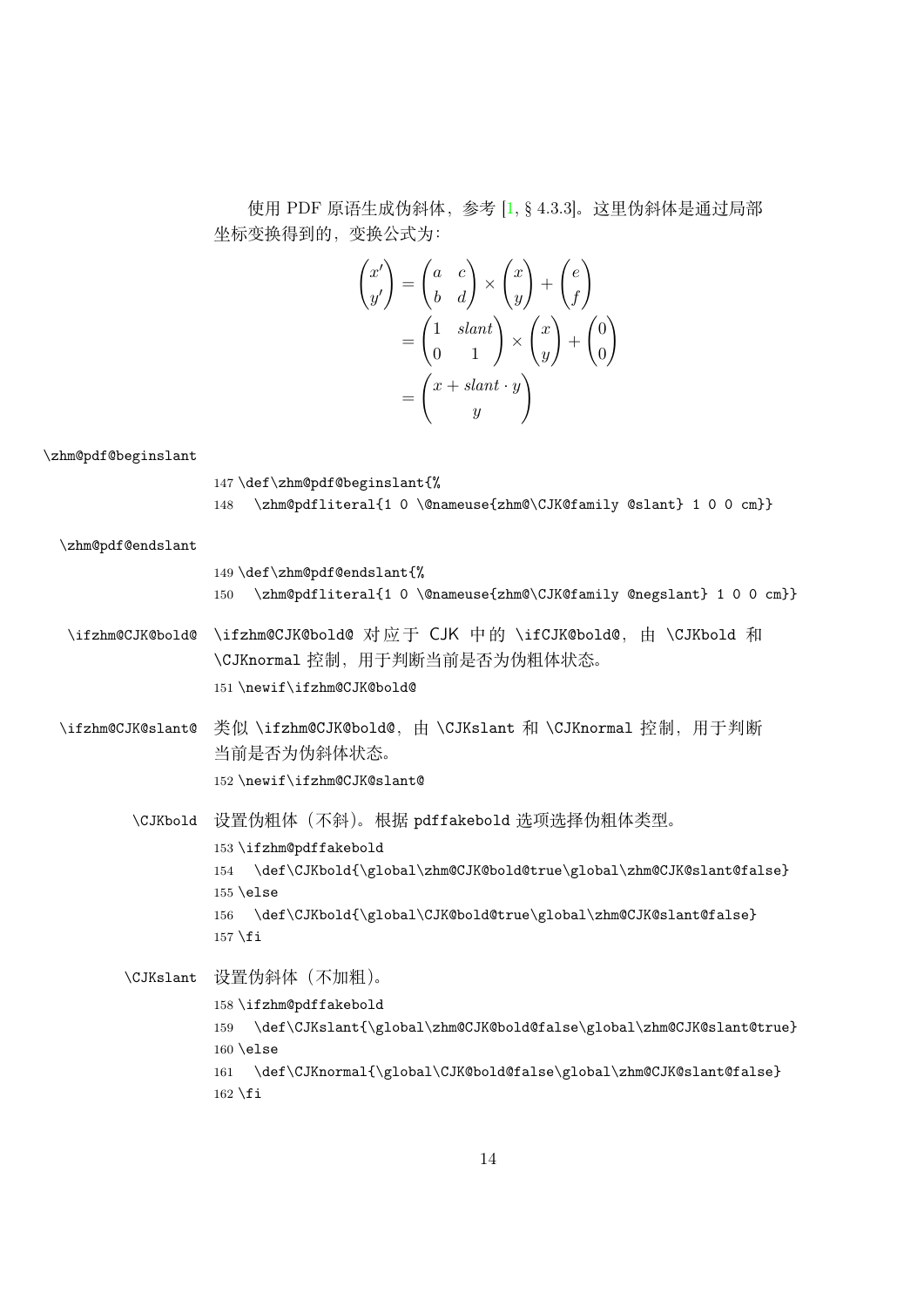使用 PDF 原语生成伪斜体,参考 [1, § 4.3.3]。这里伪斜体是通过局部 坐标变换得到的,变换公式为:

$$
\begin{pmatrix} x' \\ y' \end{pmatrix} = \begin{pmatrix} a & c \\ b & d \end{pmatrix} \times \begin{pmatrix} x \\ y \end{pmatrix} + \begin{pmatrix} e \\ f \end{pmatrix}
$$

$$
= \begin{pmatrix} 1 & slant \\ 0 & 1 \end{pmatrix} \times \begin{pmatrix} x \\ y \end{pmatrix} + \begin{pmatrix} 0 \\ 0 \end{pmatrix}
$$

$$
= \begin{pmatrix} x + slant \cdot y \\ y \end{pmatrix}
$$

\zhm@pdf@beginslant

<span id="page-13-11"></span> \def\zhm@pdf@beginslant{% \zhm@pdfliteral{1 0 \@nameuse{zhm@\CJK@family @slant} 1 0 0 cm}} \zhm@pdf@endslant \def\zhm@pdf@endslant{% \zhm@pdfliteral{1 0 \@nameuse{zhm@\CJK@family @negslant} 1 0 0 cm}}

<span id="page-13-12"></span><span id="page-13-3"></span><span id="page-13-2"></span>\ifzhm@CJK@bold@ \ifzhm@CJK@bold@ 对 应 于 CJK 中 的 \ifCJK@bold@, 由 \CJKbold 和 \CJKnormal 控制,用于判断当前是否为伪粗体状态。 151 \newif\ifzhm@CJK@bold@

<span id="page-13-7"></span><span id="page-13-6"></span>\ifzhm@CJK@slant@ 类似 \ifzhm@CJK@bold@, 由 \CJKslant 和 \CJKnormal 控制, 用于判断 当前是否为伪斜体状态。 152 \newif\ifzhm@CJK@slant@

> <span id="page-13-4"></span>\CJKbold 设置伪粗体(不斜)。根据 pdffakebold 选项选择伪粗体类型。 153 \ifzhm@pdffakebold 154 \def\CJKbold{\global\zhm@CJK@bold@true\global\zhm@CJK@slant@false} 155 \else 156 \def\CJKbold{\global\CJK@bold@true\global\zhm@CJK@slant@false}  $157$  \fi

<span id="page-13-10"></span><span id="page-13-9"></span><span id="page-13-8"></span><span id="page-13-5"></span><span id="page-13-1"></span><span id="page-13-0"></span>\CJKslant 设置伪斜体(不加粗)。 158 \ifzhm@pdffakebold 159 \def\CJKslant{\global\zhm@CJK@bold@false\global\zhm@CJK@slant@true} 160 \else 161 \def\CJKnormal{\global\CJK@bold@false\global\zhm@CJK@slant@false}  $162 \setminus fi$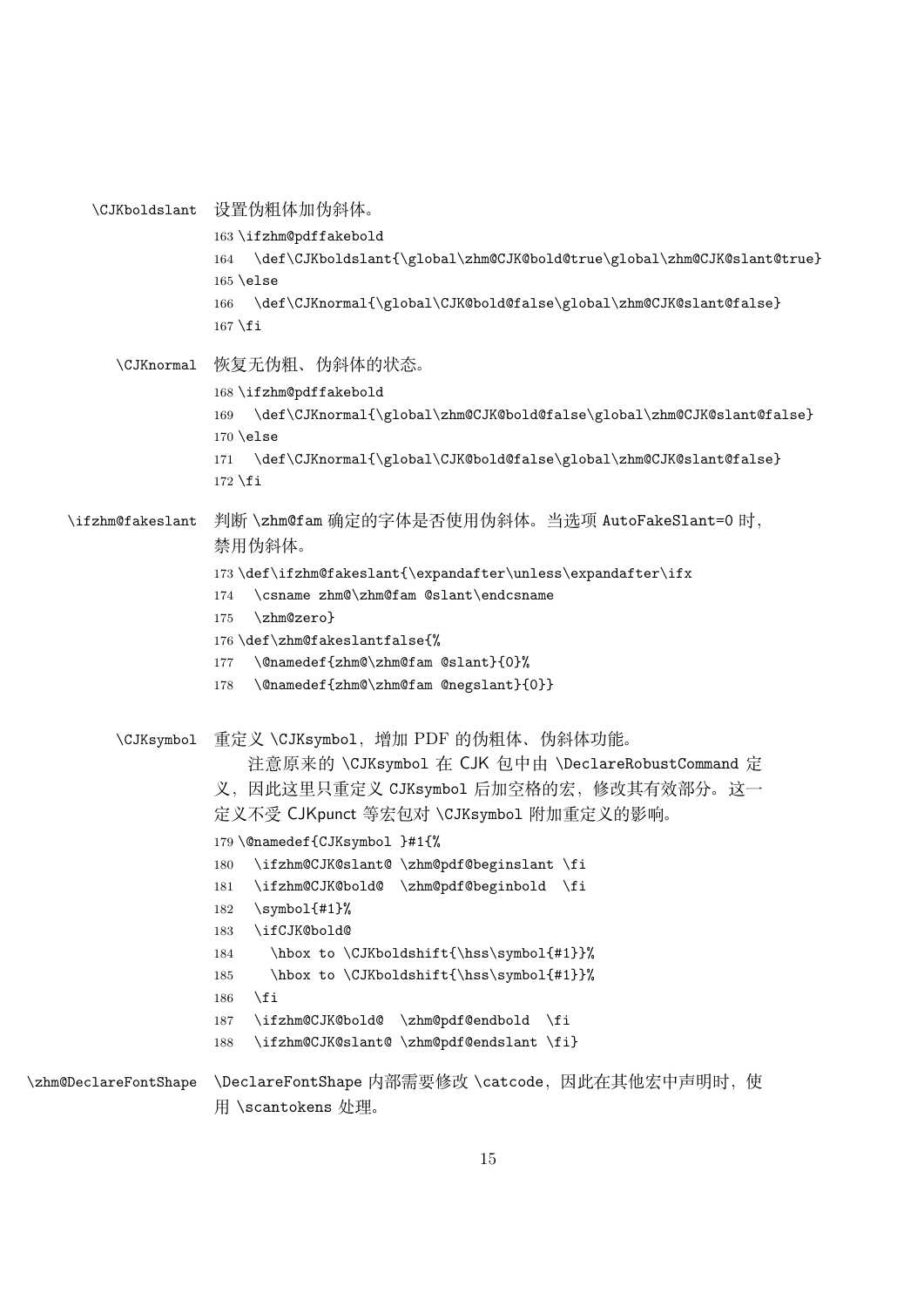```
\CJKboldslant 设置伪粗体加伪斜体。
                    163 \ifzhm@pdffakebold
                    164 \def\CJKboldslant{\global\zhm@CJK@bold@true\global\zhm@CJK@slant@true}
                    165 \else
                    166 \def\CJKnormal{\global\CJK@bold@false\global\zhm@CJK@slant@false}
                    167 \fi
         \CJKnormal 恢复无伪粗、伪斜体的状态。
                    168 \ifzhm@pdffakebold
                    169 \def\CJKnormal{\global\zhm@CJK@bold@false\global\zhm@CJK@slant@false}
                    170 \else
                    171 \def\CJKnormal{\global\CJK@bold@false\global\zhm@CJK@slant@false}
                    172 \ fi
    \ifzhm@fakeslant 判断 \zhm@fam 确定的字体是否使用伪斜体。当选项 AutoFakeSlant=0 时,
                    禁用伪斜体。
                    173 \def\ifzhm@fakeslant{\expandafter\unless\expandafter\ifx
                    174 \csname zhm@\zhm@fam @slant\endcsname
                    175 \zhm@zero}
                    176 \def\zhm@fakeslantfalse{%
                    177 \@namedef{zhm@\zhm@fam @slant}{0}%
                    178 \@namedef{zhm@\zhm@fam @negslant}{0}}
         \CJKsymbol 重定义 \CJKsymbol,增加 PDF 的伪粗体、伪斜体功能。
                        注意原来的 \CJKsymbol 在 CJK 包中由 \DeclareRobustCommand 定
                    义,因此这里只重定义 CJKsymbol 后加空格的宏,修改其有效部分。这一
                    定义不受 CJKpunct 等宏包对 \CJKsymbol 附加重定义的影响。
                    179 \@namedef{CJKsymbol }#1{%
                    180 \ifzhm@CJK@slant@ \zhm@pdf@beginslant \fi
                    181 \ifzhm@CJK@bold@ \zhm@pdf@beginbold \fi
                    182 \symbol{#1}%
                    183 \ifCJK@bold@
                    184 \hbox to \CJKboldshift{\hss\symbol{#1}}%
                    185 \hbox to \CJKboldshift{\hss\symbol{#1}}%
                    186 \fi
                    187 \ifzhm@CJK@bold@ \zhm@pdf@endbold \fi
                    188 \ifzhm@CJK@slant@ \zhm@pdf@endslant \fi}
\zhm@DeclareFontShape \DeclareFontShape 内部需要修改 \catcode, 因此在其他宏中声明时, 使
                    用 \scantokens 处理。
```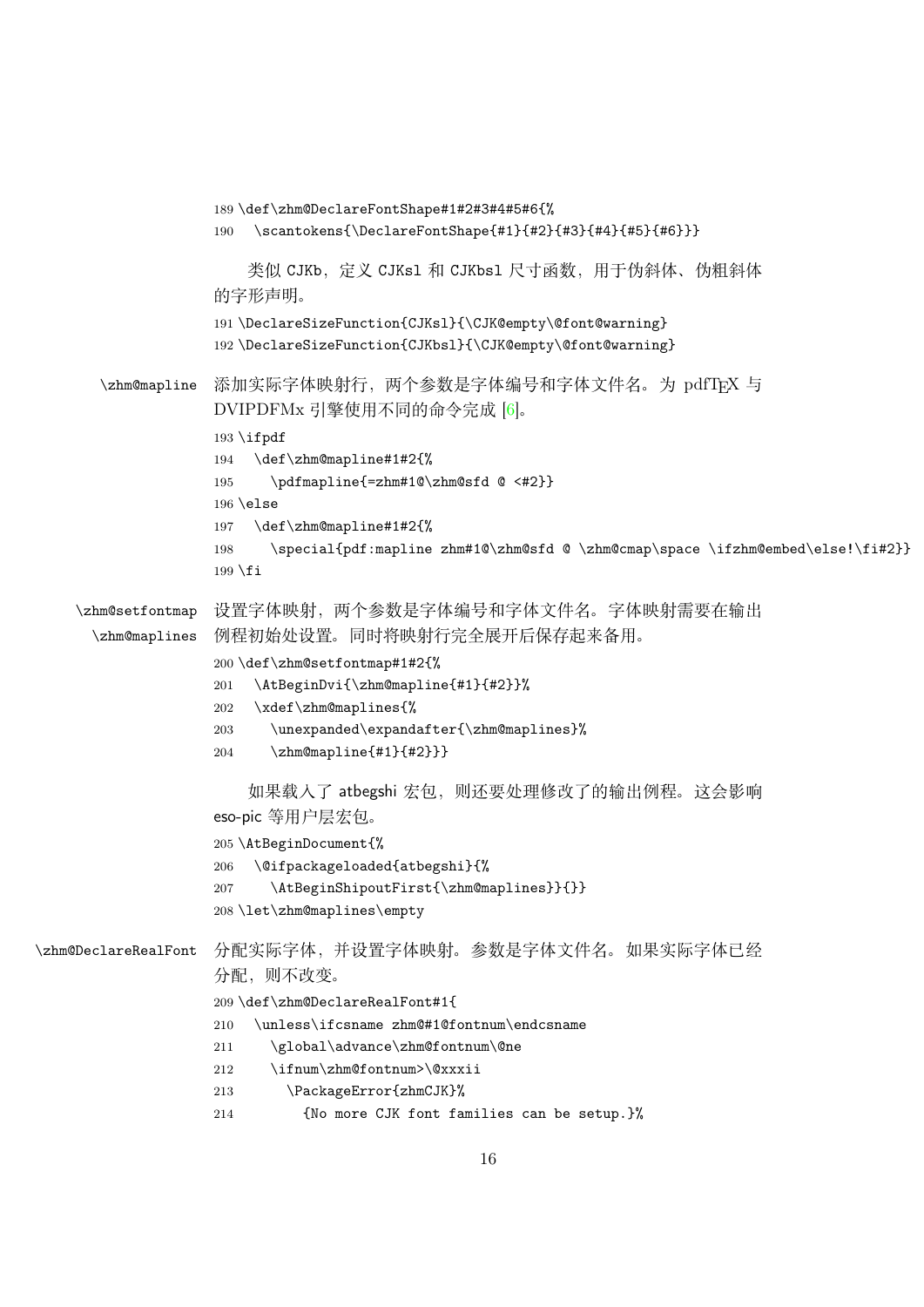```
189 \def\zhm@DeclareFontShape#1#2#3#4#5#6{%
                  190 \scantokens{\DeclareFontShape{#1}{#2}{#3}{#4}{#5}{#6}}}
                      类似 CJKb,定义 CJKs1 和 CJKbs1 尺寸函数,用于伪斜体、伪粗斜体
                  的字形声明。
                  191 \DeclareSizeFunction{CJKsl}{\CJK@empty\@font@warning}
                  192 \DeclareSizeFunction{CJKbsl}{\CJK@empty\@font@warning}
      \zhm@mapline 添加实际字体映射行, 两个参数是字体编号和字体文件名。为 pdfTFX 与
                  DVIPDFMx 引擎使用不同的命令完成 [6]。
                  193 \ifpdf
                  194 \def\zhm@mapline#1#2{%
                  195 \pdfmapline{=zhm#1@\zhm@sfd @ <#2}}
                  196 \else
                  197 \def\zhm@mapline#1#2{%
                  198 \special{pdf:mapline zhm#1@\zhm@sfd @ \zhm@cmap\space \ifzhm@embed\else!\fi#2}}
                  199 \fi
    \zhm@setfontmap
      \zhm@maplines
                  设置字体映射,两个参数是字体编号和字体文件名。字体映射需要在输出
                  例程初始处设置。同时将映射行完全展开后保存起来备用。
                  200 \def\zhm@setfontmap#1#2{%
                  201 \AtBeginDvi{\zhm@mapline{#1}{#2}}%
                  202 \xdef\zhm@maplines{%
                  203 \unexpanded\expandafter{\zhm@maplines}%
                  204 \zhm@mapline{#1}{#2}}}
                      如果载入了 atbegshi 宏包, 则还要处理修改了的输出例程。这会影响
                  eso-pic 等用户层宏包。
                  205 \AtBeginDocument{%
                  206 \@ifpackageloaded{atbegshi}{%
                  207 \AtBeginShipoutFirst{\zhm@maplines}}{}}
                  208 \let\zhm@maplines\empty
\zhm@DeclareRealFont 分配实际字体,并设置字体映射。参数是字体文件名。如果实际字体已经
                  分配,则不改变。
                  209 \def\zhm@DeclareRealFont#1{
                  210 \unless\ifcsname zhm@#1@fontnum\endcsname
                  211 \global\advance\zhm@fontnum\@ne
                  212 \ifnum\zhm@fontnum>\@xxxii
                  213 \PackageError{zhmCJK}%
                  214 {No more CJK font families can be setup.}%
```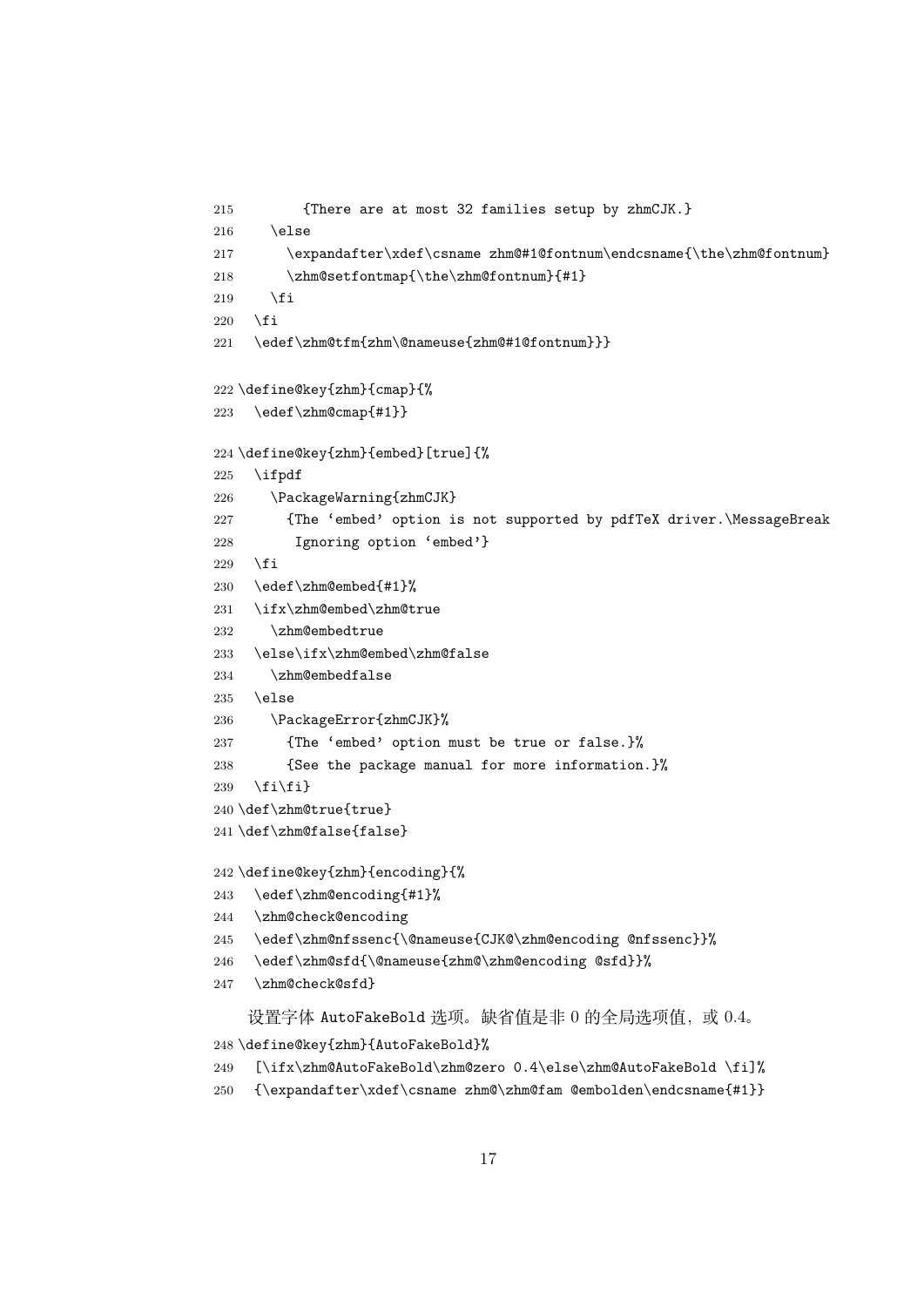```
215 {There are at most 32 families setup by zhmCJK.}
216 \else
217 \expandafter\xdef\csname zhm@#1@fontnum\endcsname{\the\zhm@fontnum}
218 \zhm@setfontmap{\the\zhm@fontnum}{#1}
219 \forallfi
220 \setminusfi
221 \edef\zhm@tfm{zhm\@nameuse{zhm@#1@fontnum}}}
222 \define@key{zhm}{cmap}{%
223 \edef\zhm@cmap{#1}}
224 \define@key{zhm}{embed}[true]{%
225 \i{fpdf}226 \PackageWarning{zhmCJK}
227 {The 'embed' option is not supported by pdfTeX driver.\MessageBreak
228 Ignoring option 'embed'}
229 \setminusfi
230 \edef\zhm@embed{#1}%
231 \ifx\zhm@embed\zhm@true
232 \zhm@embedtrue
233 \else\ifx\zhm@embed\zhm@false
234 \zhm@embedfalse
235 \else
236 \PackageError{zhmCJK}%
237 {The 'embed' option must be true or false.}%
238 {See the package manual for more information.}%
239 \{fi\}240 \def\zhm@true{true}
241 \def\zhm@false{false}
242 \define@key{zhm}{encoding}{%
243 \edef\zhm@encoding{#1}%
244 \zhm@check@encoding
245 \edef\zhm@nfssenc{\@nameuse{CJK@\zhm@encoding @nfssenc}}%
246 \edef\zhm@sfd{\@nameuse{zhm@\zhm@encoding @sfd}}%
247 \zhm@check@sfd}
    设置字体 AutoFakeBold 选项。缺省值是非 0 的全局选项值, 或 0.4。
248 \define@key{zhm}{AutoFakeBold}%
249 [\ifx\zhm@AutoFakeBold\zhm@zero 0.4\else\zhm@AutoFakeBold \fi]%
250 {\expandafter\xdef\csname zhm@\zhm@fam @embolden\endcsname{#1}}
```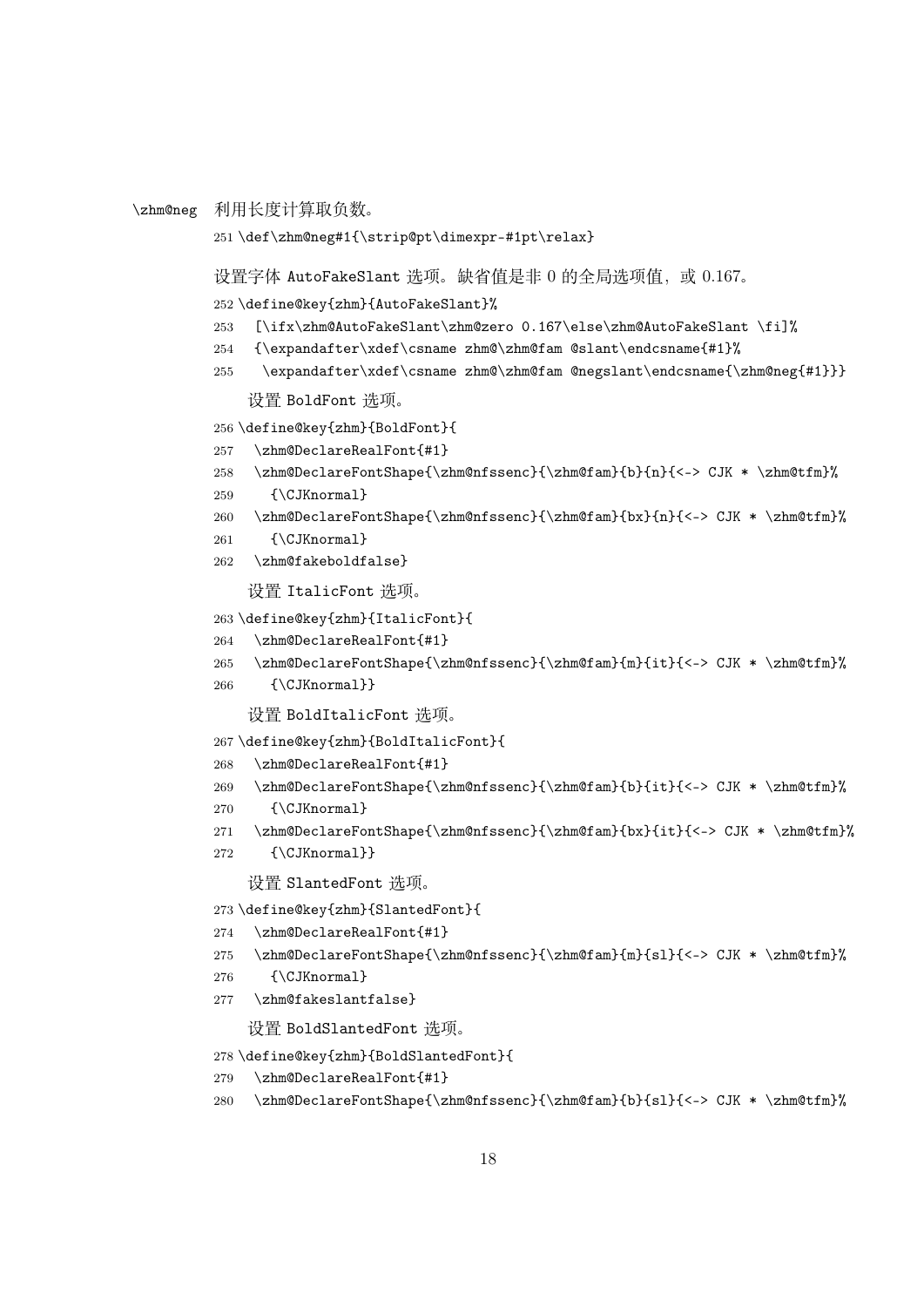```
\zhm@neg 利用长度计算取负数。
```

```
251 \def\zhm@neg#1{\strip@pt\dimexpr-#1pt\relax}
```
设置字体 AutoFakeSlant 选项。缺省值是非 0 的全局选项值, 或 0.167。

\define@key{zhm}{AutoFakeSlant}%

- <span id="page-17-7"></span>[\ifx\zhm@AutoFakeSlant\zhm@zero 0.167\else\zhm@AutoFakeSlant \fi]%
- <span id="page-17-22"></span>{\expandafter\xdef\csname zhm@\zhm@fam @slant\endcsname{#1}%
- <span id="page-17-23"></span>\expandafter\xdef\csname zhm@\zhm@fam @negslant\endcsname{\zhm@neg{#1}}}

设置 BoldFont 选项。

\define@key{zhm}{BoldFont}{

- <span id="page-17-15"></span>\zhm@DeclareRealFont{#1}
- <span id="page-17-8"></span>\zhm@DeclareFontShape{\zhm@nfssenc}{\zhm@fam}{b}{n}{<-> CJK \* \zhm@tfm}%
- <span id="page-17-1"></span>{\CJKnormal}
- <span id="page-17-9"></span>\zhm@DeclareFontShape{\zhm@nfssenc}{\zhm@fam}{bx}{n}{<-> CJK \* \zhm@tfm}%
- <span id="page-17-2"></span>{\CJKnormal}
- <span id="page-17-20"></span>\zhm@fakeboldfalse}

设置 ItalicFont 选项。

```
263 \define@key{zhm}{ItalicFont}{
```
- <span id="page-17-16"></span>\zhm@DeclareRealFont{#1}
- <span id="page-17-10"></span>\zhm@DeclareFontShape{\zhm@nfssenc}{\zhm@fam}{m}{it}{<-> CJK \* \zhm@tfm}%
- <span id="page-17-3"></span>{\CJKnormal}}

设置 BoldItalicFont 选项。

```
267 \define@key{zhm}{BoldItalicFont}{
```
<span id="page-17-17"></span>\zhm@DeclareRealFont{#1}

```
269 \zhm@DeclareFontShape{\zhm@nfssenc}{\zhm@fam}{b}{it}{<-> CJK * \zhm@tfm}%
```
- <span id="page-17-4"></span>{\CJKnormal}
- <span id="page-17-12"></span>\zhm@DeclareFontShape{\zhm@nfssenc}{\zhm@fam}{bx}{it}{<-> CJK \* \zhm@tfm}%
- <span id="page-17-5"></span>272 {\CJKnormal}}

```
设置 SlantedFont 选项。
```
\define@key{zhm}{SlantedFont}{

```
274 \zhm@DeclareRealFont{#1}
```
<span id="page-17-13"></span>\zhm@DeclareFontShape{\zhm@nfssenc}{\zhm@fam}{m}{sl}{<-> CJK \* \zhm@tfm}%

```
276 {\CJKnormal}
```
<span id="page-17-21"></span>\zhm@fakeslantfalse}

```
设置 BoldSlantedFont 选项。
```

```
278 \define@key{zhm}{BoldSlantedFont}{
```

```
279 \zhm@DeclareRealFont{#1}
```

```
280 \zhm@DeclareFontShape{\zhm@nfssenc}{\zhm@fam}{b}{sl}{<-> CJK * \zhm@tfm}%
```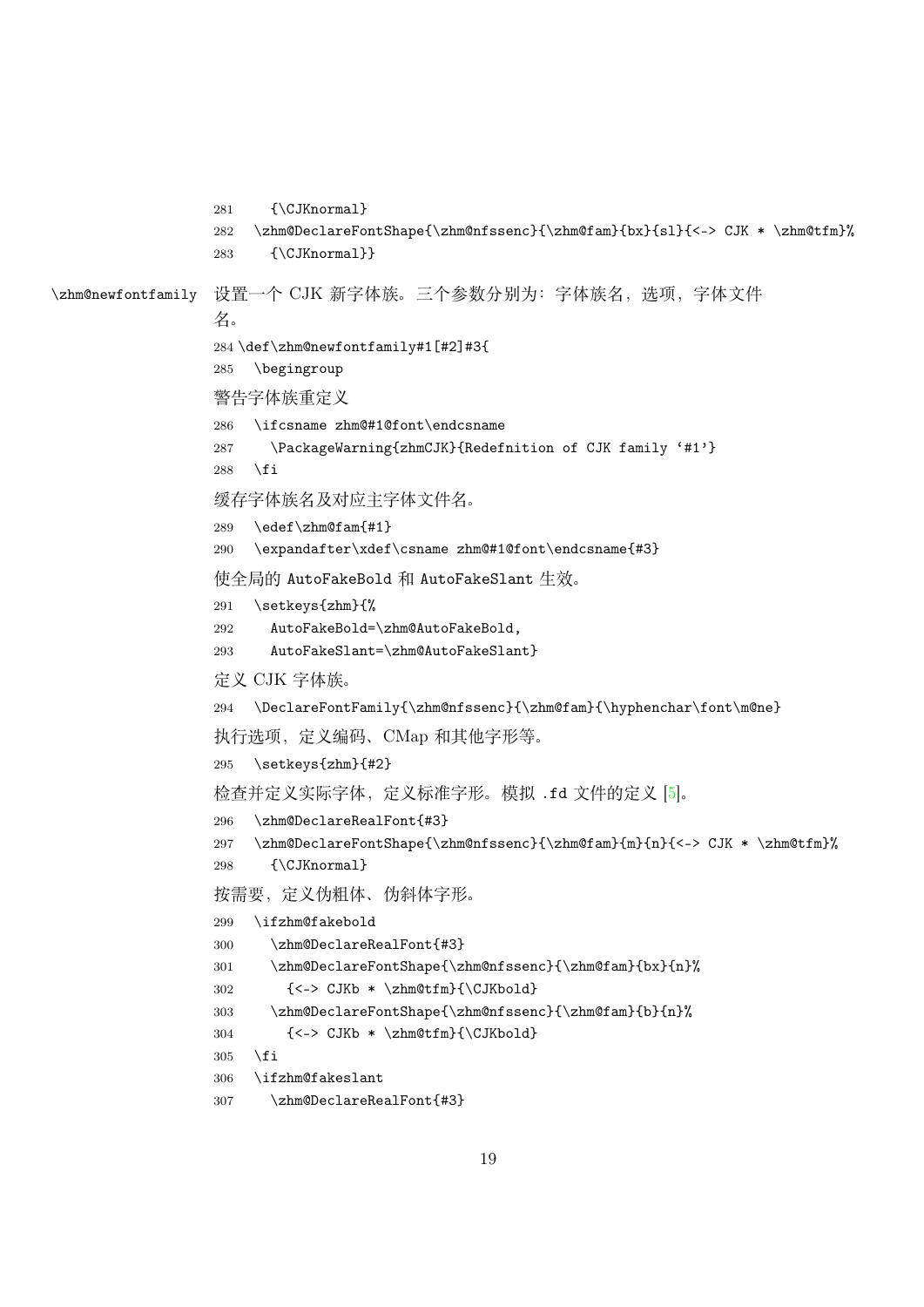```
281 {\CJKnormal}
                  282 \zhm@DeclareFontShape{\zhm@nfssenc}{\zhm@fam}{bx}{sl}{<-> CJK * \zhm@tfm}%
                  283 {\CJKnormal}}
\zhm@newfontfamily 设置一个 CJK 新字体族。三个参数分别为:字体族名,选项,字体文件
                  名。
                  284 \def\zhm@newfontfamily#1[#2]#3{
                  285 \begingroup
                  警告字体族重定义
                  286 \ifcsname zhm@#1@font\endcsname
                  287 \PackageWarning{zhmCJK}{Redefnition of CJK family '#1'}
                  288 \fi
                  缓存字体族名及对应主字体文件名。
                  289 \edef\zhm@fam{#1}
                  290 \expandafter\xdef\csname zhm@#1@font\endcsname{#3}
                  使全局的 AutoFakeBold 和 AutoFakeSlant 生效。
                  291 \setkeys{zhm}{%
                  292 AutoFakeBold=\zhm@AutoFakeBold,
                  293 AutoFakeSlant=\zhm@AutoFakeSlant}
                  定义 CJK 字体族。
                  294 \DeclareFontFamily{\zhm@nfssenc}{\zhm@fam}{\hyphenchar\font\m@ne}
                  执行选项,定义编码、CMap 和其他字形等。
                  295 \setkeys{zhm}{#2}
                  检查并定义实际字体,定义标准字形。模拟 .fd 文件的定义 [5]。
                  296 \zhm@DeclareRealFont{#3}
                  297 \zhm@DeclareFontShape{\zhm@nfssenc}{\zhm@fam}{m}{n}{<-> CJK * \zhm@tfm}%
                  298 {\CJKnormal}
                  按需要,定义伪粗体、伪斜体字形。
                  299 \ifzhm@fakebold
                  300 \zhm@DeclareRealFont{#3}
                  301 \zhm@DeclareFontShape{\zhm@nfssenc}{\zhm@fam}{bx}{n}%
                  302 \{\langle -\rangle \times \langle \rangle \times \langle \rangle \}303 \zhm@DeclareFontShape{\zhm@nfssenc}{\zhm@fam}{b}{n}%
                  304 \quad \{<-&gt; \text{CJKb } * \znm@tfm\} \cup \text{CJKbold}305 \fi
                  306 \ifzhm@fakeslant
```

```
307 \zhm@DeclareRealFont{#3}
```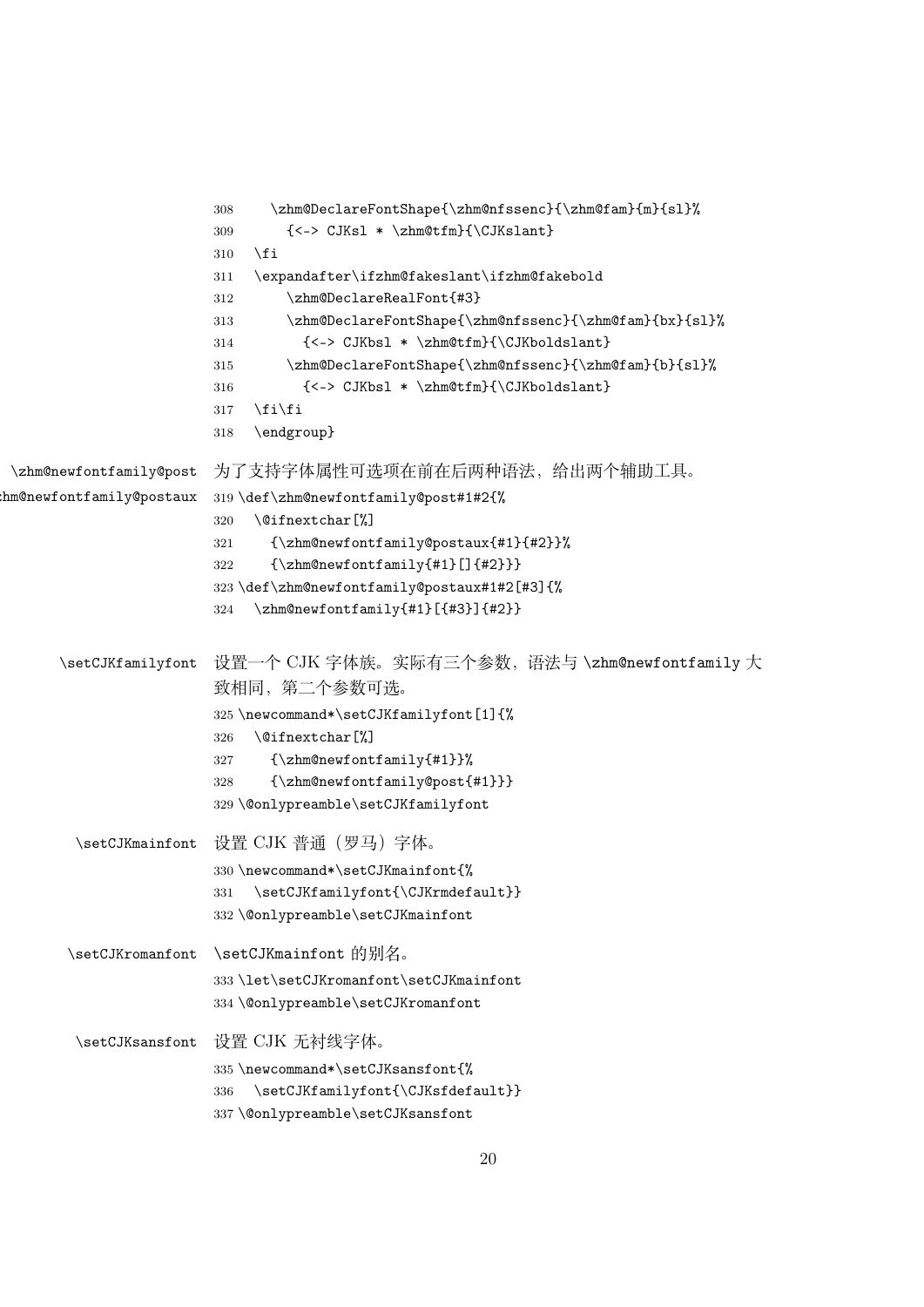```
308 \zhm@DeclareFontShape{\zhm@nfssenc}{\zhm@fam}{m}{sl}%
                        309 \quad \{ \leq > \text{CJKs1 } \ \zeta \310 \quad \text{If}311 \expandafter\ifzhm@fakeslant\ifzhm@fakebold
                        312 \zhm@DeclareRealFont{#3}
                        313 \zhm@DeclareFontShape{\zhm@nfssenc}{\zhm@fam}{bx}{sl}%
                        314 {<-> CJKbsl * \zhm@tfm}{\CJKboldslant}
                        315 \zhm@DeclareFontShape{\zhm@nfssenc}{\zhm@fam}{b}{sl}%
                        316 {<-> CJKbsl * \zhm@tfm}{\CJKboldslant}
                        317 \fi\fi
                        318 \endgroup}
\zhm@newfontfamily@post
hm@newfontfamily@postaux
                        为了支持字体属性可选项在前在后两种语法,给出两个辅助工具。
                        319 \def\zhm@newfontfamily@post#1#2{%
                        320 \@ifnextchar[%]
                        321 {\zhm@newfontfamily@postaux{#1}{#2}}%
                        322 {\zhm@newfontfamily{#1}[]{#2}}}
                        323 \def\zhm@newfontfamily@postaux#1#2[#3]{%
                        324 \zhm@newfontfamily{#1}[{#3}]{#2}}
      \setCJKfamilyfont 设置一个 CJK 字体族。实际有三个参数,语法与 \zhm@newfontfamily 大
                        致相同,第二个参数可选。
                        325 \newcommand*\setCJKfamilyfont[1]{%
                        326 \@ifnextchar[%]
                        327 {\zhm@newfontfamily{#1}}%
                        328 {\zhm@newfontfamily@post{#1}}}
                        329 \@onlypreamble\setCJKfamilyfont
        \setCJKmainfont 设置 CJK 普通(罗马)字体。
                        330 \newcommand*\setCJKmainfont{%
                        331 \setCJKfamilyfont{\CJKrmdefault}}
                        332 \@onlypreamble\setCJKmainfont
       \setCJKromanfont \setCJKmainfont 的别名。
                        333 \let\setCJKromanfont\setCJKmainfont
                        334 \@onlypreamble\setCJKromanfont
        \setCJKsansfont 设置 CJK 无衬线字体。
                        335 \newcommand*\setCJKsansfont{%
                        336 \setCJKfamilyfont{\CJKsfdefault}}
                        337 \@onlypreamble\setCJKsansfont
```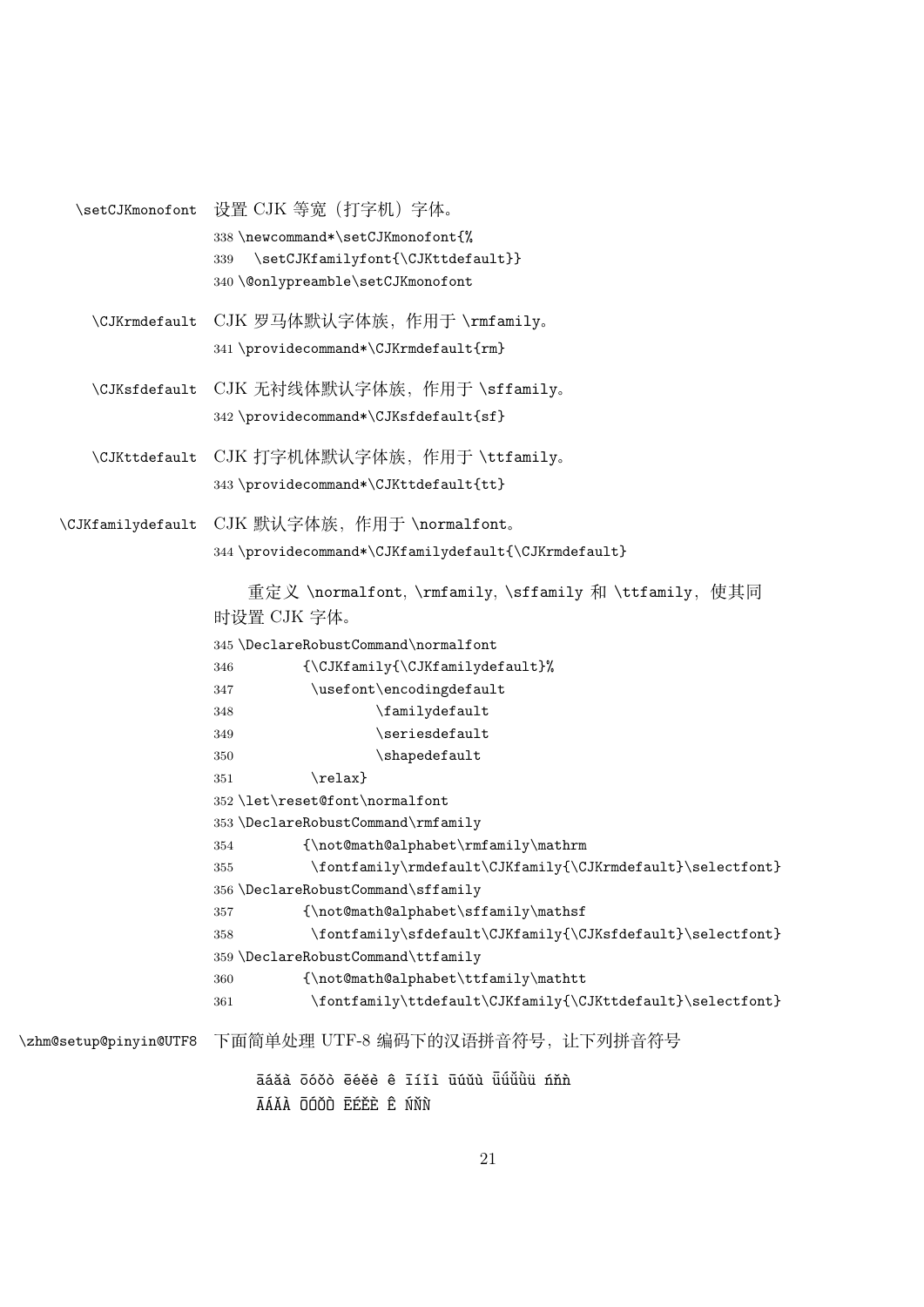<span id="page-20-15"></span><span id="page-20-14"></span><span id="page-20-13"></span><span id="page-20-12"></span><span id="page-20-11"></span><span id="page-20-10"></span><span id="page-20-9"></span><span id="page-20-8"></span><span id="page-20-7"></span><span id="page-20-6"></span><span id="page-20-5"></span><span id="page-20-4"></span><span id="page-20-3"></span><span id="page-20-2"></span><span id="page-20-1"></span><span id="page-20-0"></span>\setCJKmonofont 设置 CJK 等宽 (打字机) 字体。 338 \newcommand\*\setCJKmonofont{% 339 \setCJKfamilyfont{\CJKttdefault}} 340 \@onlypreamble\setCJKmonofont \CJKrmdefault CJK 罗马体默认字体族,作用于 \rmfamily。 341 \providecommand\*\CJKrmdefault{rm} \CJKsfdefault CJK 无衬线体默认字体族,作用于 \sffamily。 342 \providecommand\*\CJKsfdefault{sf} \CJKttdefault CJK 打字机体默认字体族,作用于 \ttfamily。 343 \providecommand\*\CJKttdefault{tt} \CJKfamilydefault CJK 默认字体族,作用于 \normalfont。 344 \providecommand\*\CJKfamilydefault{\CJKrmdefault} 重定义 \normalfont, \rmfamily, \sffamily 和 \ttfamily, 使其同 时设置 CJK 字体。 345 \DeclareRobustCommand\normalfont 346 {\CJKfamily{\CJKfamilydefault}% 347 \usefont\encodingdefault 348 \familydefault 349 \seriesdefault 350 \shapedefault  $351$  \relax} 352 \let\reset@font\normalfont 353 \DeclareRobustCommand\rmfamily 354 {\not@math@alphabet\rmfamily\mathrm 355 \fontfamily\rmdefault\CJKfamily{\CJKrmdefault}\selectfont} 356 \DeclareRobustCommand\sffamily 357 {\not@math@alphabet\sffamily\mathsf  $358 \label{def:1} $$$ 359 \DeclareRobustCommand\ttfamily 360 {\not@math@alphabet\ttfamily\mathtt 361 \fontfamily\ttdefault\CJKfamily{\CJKttdefault}\selectfont} \zhm@setup@pinyin@UTF8 下面简单处理 UTF-8 编码下的汉语拼音符号,让下列拼音符号 āáǎà ōóǒò ēéěè ê īíǐì ūúǔù ū̃üǚüü nňn ĀÁĂÀ ŌÓŎÒ ĒÉĚÈ Ê ŃŇŇ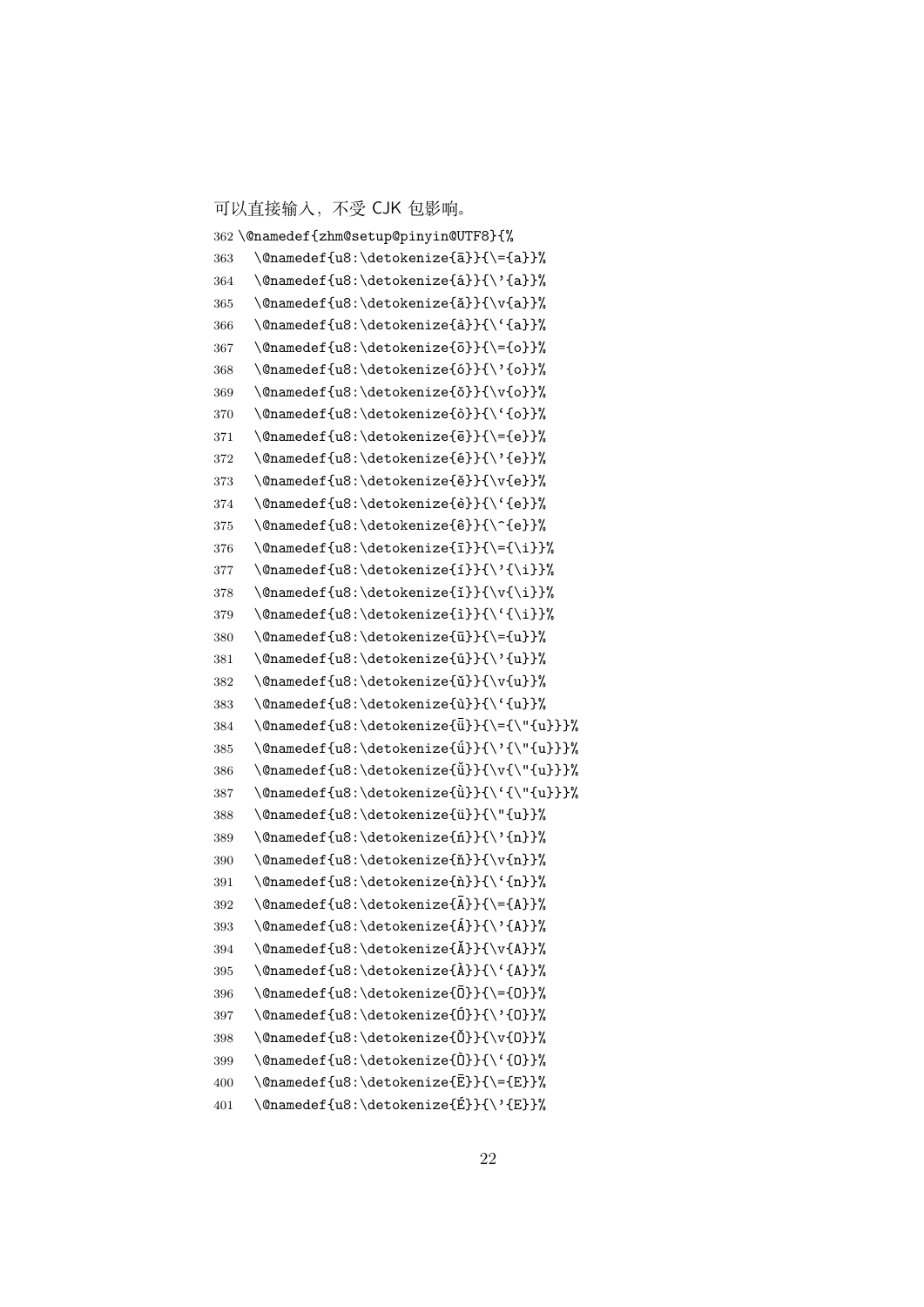可以直接输入,不受 CJK 包影响。

```
362 \@namedef{zhm@setup@pinyin@UTF8}{%
363 \@namedef{u8:\detokenize{a}}{\={a}}%
364 \@namedef{u8:\detokenize{á}}{\'{a}}%
365 \@namedef{u8:\detokenize{ǎ}}{\v{a}}%
366 \@namedef{u8:\detokenize{à}}{\'{a}}%
367 \@namedef{u8:\detokenize{o}}{\={o}}%
368 \@namedef{u8:\detokenize{ó}}{\'{o}}%
369 \@namedef{u8:\detokenize{\delta}}{\v{o}}%
370 \@namedef{u8:\detokenize{ò}}{\'{o}}%
371 \@namedef{u8:\detokenize{\bar{e}}}{\={e}}%
372 \ \Omega \@namedef{u8:\detokenize{é}}{\'{e}}%
373 \@namedef{u8:\detokenize{ě}}{\v{e}}%
374 \@namedef{u8:\detokenize{è}}{\'{e}}%
375 \@namedef{u8:\detokenize{ê}}{\^{e}}%
376 \@namedef{u8:\detokenize{\iota}}{\={\i}}%
377 \@namedef{u8:\detokenize{i}}{\'{\i}}%
378 \@namedef{u8:\detokenize{i}}{\v{\i}}%
379 \@namedef{u8:\detokenize{i}}{\'{\i}}%
380 \@namedef{u8:\detokenize{u}}{\={u}}%
381 \@namedef{u8:\detokenize{ú}}{\'{u}}%
382 \@namedef{u8:\detokenize{u}}{\v{u}}%
383 \@namedef{u8:\detokenize{ù}}{\'{u}}%
384 \@namedef{u8:\detokenize{\bar{u}}}{\={\"{u}}}%
385 \@namedef{u8:\detokenize{\tilde{u}}}{\'{\"{u}}}%
386 \@namedef{u8:\detokenize{\tilde{u}}{\v{\"{u}}}%
387 \@namedef{u8:\detokenize{`ü}}{\'{\"{u}}}%
388 \@namedef{u8:\detokenize{ü}}{\"{u}}%
389 \@namedef{u8:\detokenize{ń}}{\'{n}}%
390 \@namedef{u8:\detokenize{ň}}{\v{n}}%
391 \@namedef{u8:\detokenize{n}}{\'{n}}%
392 \@namedef{u8:\detokenize{\bar{A}}}{\={A}}%
393 \@namedef{u8:\detokenize{Á}}{\'{A}}%
394 \@namedef{u8:\detokenize{\{X\}\{\v{A}}%
395 \@namedef{u8:\detokenize{À}}{\'{A}}%
396 \@namedef{u8:\detokenize{\bar{0}}{\={0}}%
397 \@namedef{u8:\detokenize{Ó}}{\'{O}}%
398 \@namedef{u8:\detokenize{0}}{\v{0}}%
399 \@namedef{u8:\detokenize{Ò}}{\'{O}}%
400 \@namedef{u8:\detokenize{E}}{\={E}}%
401 \@namedef{u8:\detokenize{É}}{\'{E}}%
```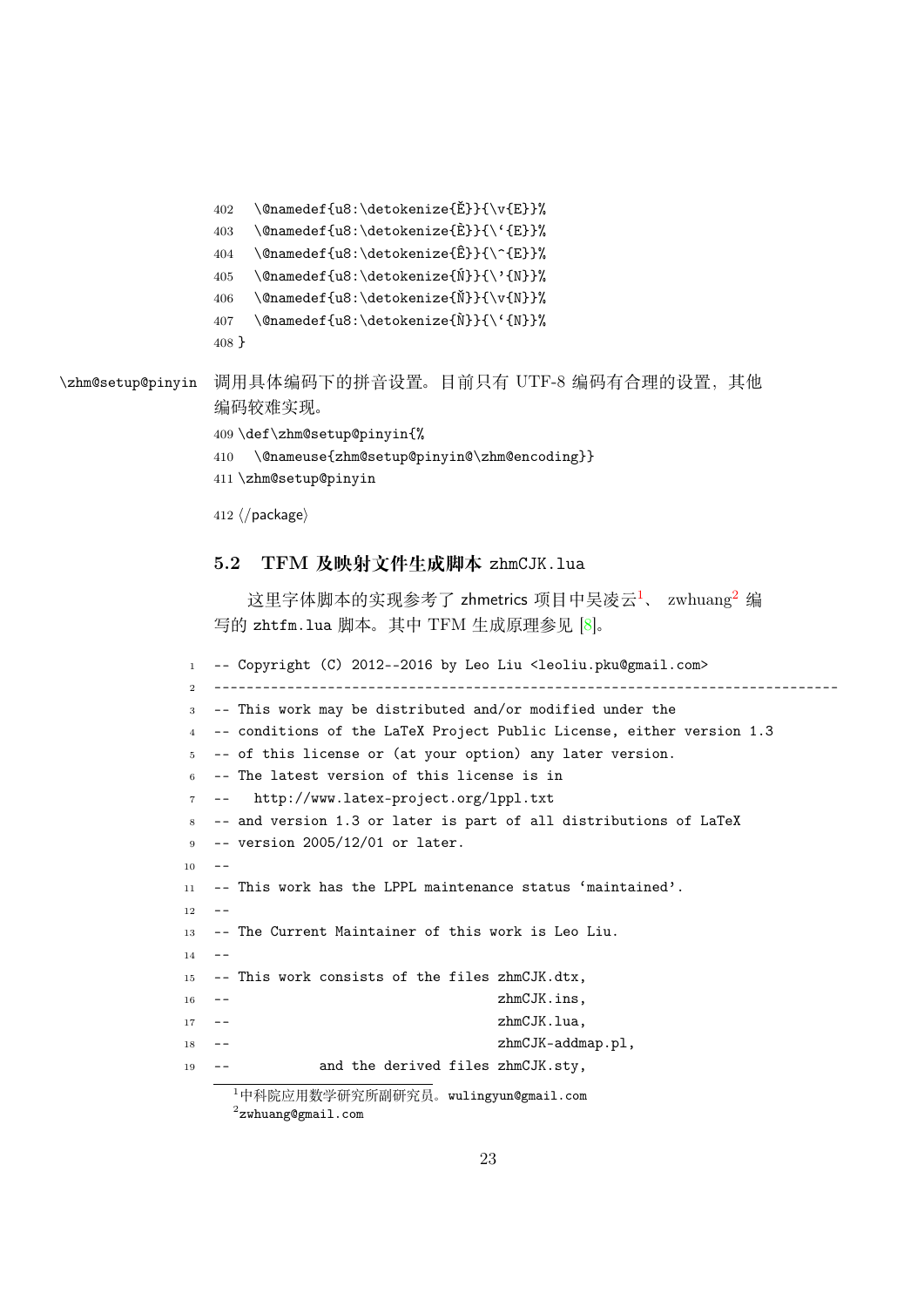```
402 \@namedef{u8:\detokenize{Ě}}{\v{E}}%
```
- \@namedef{u8:\detokenize{È}}{\'{E}}%
- \@namedef{u8:\detokenize{ $\hat{E}$ }{\^{E}}%
- <span id="page-22-4"></span>\@namedef{u8:\detokenize{Ń}}{\'{N}}%
- <span id="page-22-2"></span>\@namedef{u8:\detokenize{Ň}}{\v{N}}%
- <span id="page-22-1"></span>407 \@namedef{u8:\detokenize{ $N$ }}{\'{N}}%
- <span id="page-22-5"></span>}

```
\zhm@setup@pinyin 调用具体编码下的拼音设置。目前只有 UTF-8 编码有合理的设置,其他
```
<span id="page-22-6"></span><span id="page-22-3"></span>编码较难实现。

```
409 \def\zhm@setup@pinyin{%
```
- \@nameuse{zhm@setup@pinyin@\zhm@encoding}}
- \zhm@setup@pinyin
- <span id="page-22-7"></span>*⟨/*package*⟩*

#### 5.2 TFM **及映射文件生成脚本** zhmCJK.lua

这里字体脚本的实现参考了 zhmetrics 项目中吴凌云<sup>1</sup>、 zwhuang<sup>2</sup> 编 写的 zhtfm.lua 脚本。其中 TFM 生成原理参见 [8]。

```
1 -- Copyright (C) 2012--2016 by Leo Liu <leoliu.pku@gmail.com>
2 -----------------------------------------------------------------------------
3 -- This work may be distributed and/or modified under the
4 -- conditions of the LaTeX Project Public License, either version 1.3
5 -- of this license or (at your option) any later version.
6 -- The latest version of this license is in
       http://www.latex-project.org/lppl.txt
8 -- and version 1.3 or later is part of all distributions of LaTeX
9 -- version 2005/12/01 or later.
1011 -- This work has the LPPL maintenance status 'maintained'.
12 - -13 -- The Current Maintainer of this work is Leo Liu.
1415 -- This work consists of the files zhmCJK.dtx,
16 -- zhmCJK.ins,
17 -- zhmCJK.lua,
18 -- zhmCJK-addmap.pl,
19 -- and the derived files zhmCJK.sty,
```
<span id="page-22-0"></span>中科院应用数学研究所副研究员。wulingyun@gmail.com  $^2$ zwhuang@gmail.com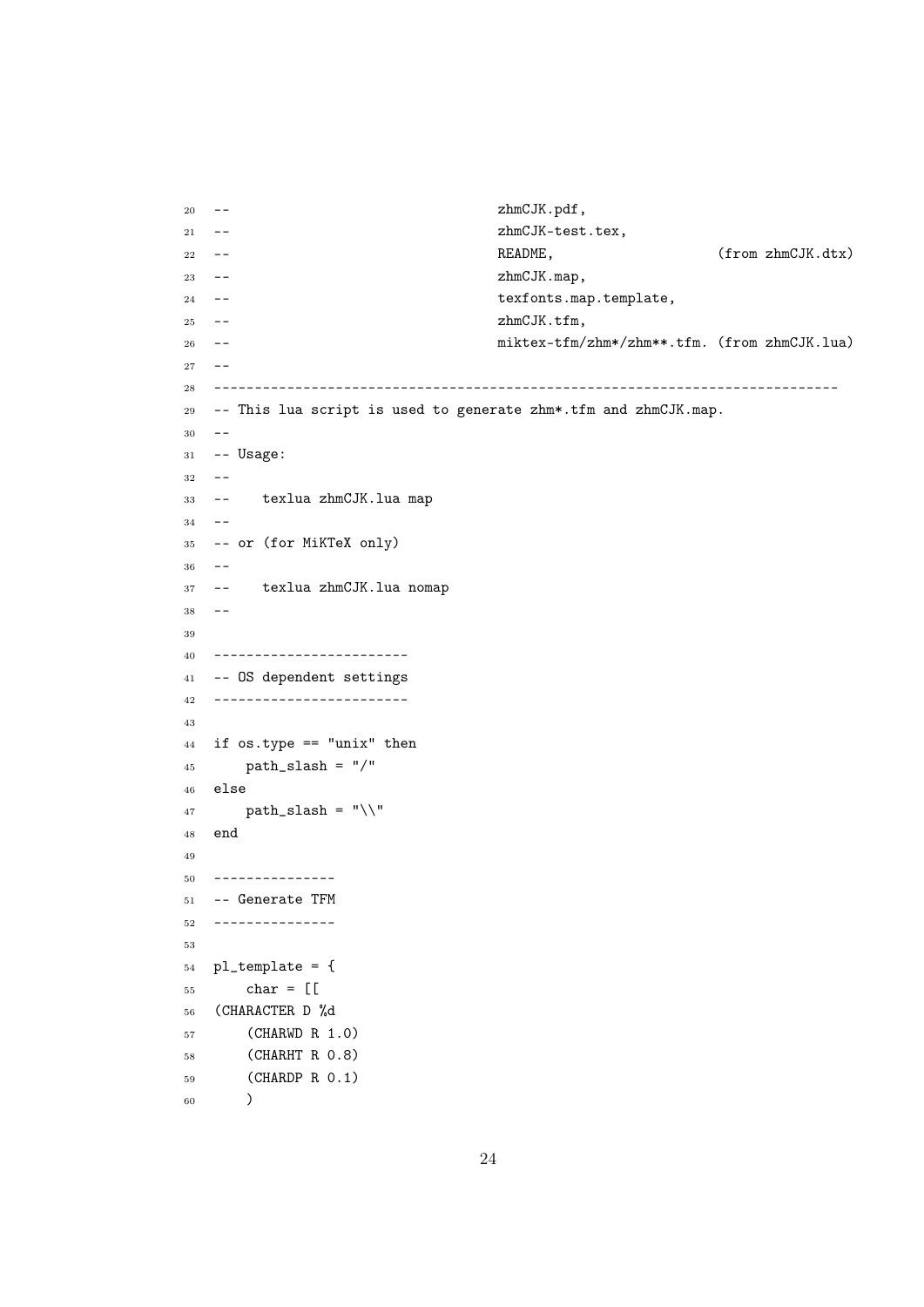```
20 -- zhmCJK.pdf,
21 -- zhmCJK-test.tex,
<sup>22</sup> -- README, (from zhmCJK.dtx)
23 -- zhmCJK.map,
24 -- texfonts.map.template,
25 -- zhmCJK.tfm,
26 -- miktex-tfm/zhm*/zhm**.tfm. (from zhmCJK.lua)
27 - -28 -----------------------------------------------------------------------------
29 -- This lua script is used to generate zhm*.tfm and zhmCJK.map.
30 - -31 -- Usage:
32 - -33 -- texlua zhmCJK.lua map
34 - -35 -- or (for MiKTeX only)
36 - -37 -- texlua zhmCJK.lua nomap
38 - -39
40 ------------------------
41 -- OS dependent settings
42 ------------------------
43
44 if os.type == "unix" then
45 path_slash = "/"46 else
47 path_slash = "\\"
48 end
49
50 ---------------
51 -- Generate TFM
52 ---------------
53
54 pl_template = {
55 char = [[
56 (CHARACTER D %d
57 (CHARWD R 1.0)
58 (CHARHT R 0.8)
59 (CHARDP R 0.1)
60 )
```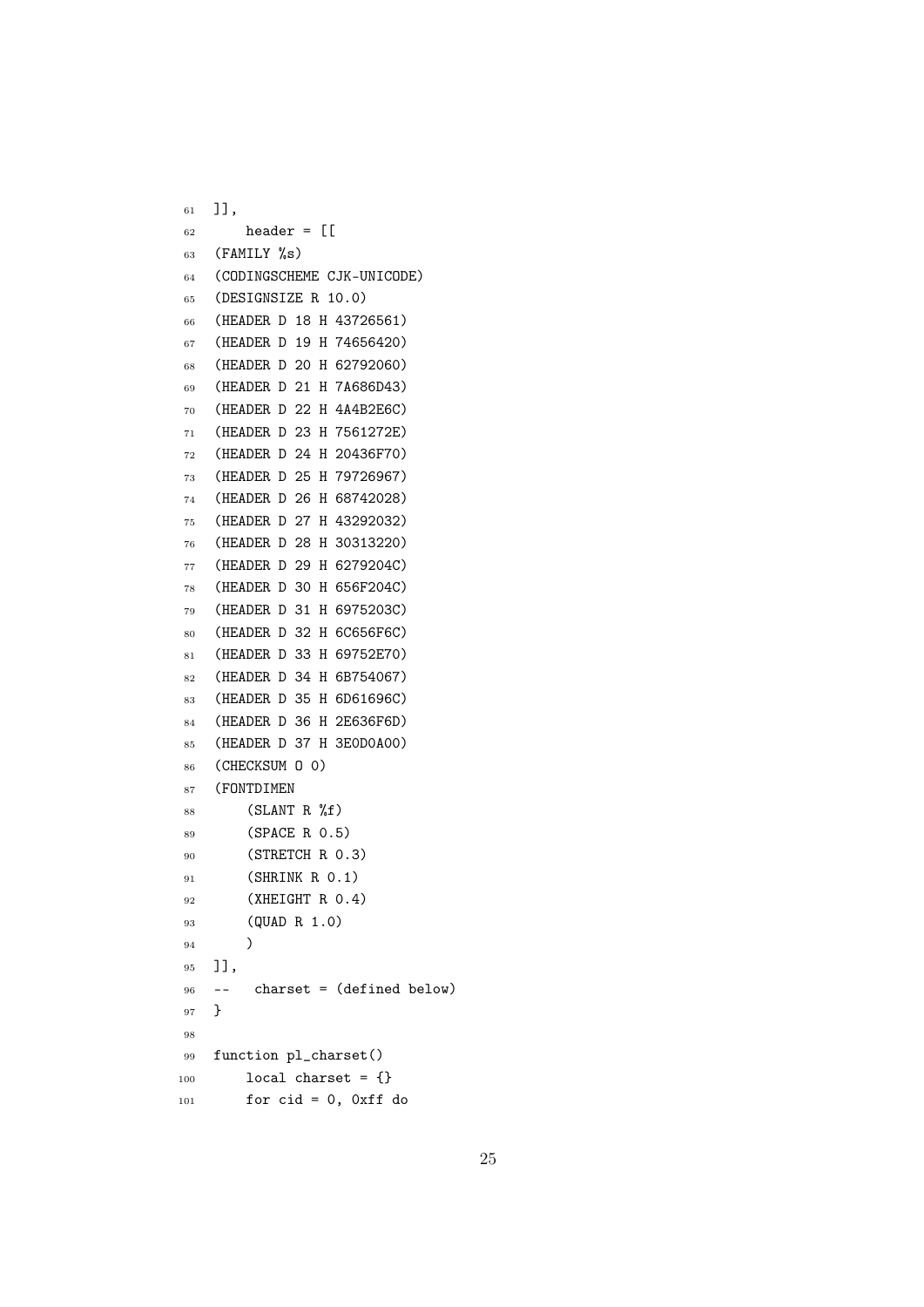```
61 ]],
62 header = \lceil \cdot \rceil63 (FAMILY \%s)
64 (CODINGSCHEME CJK-UNICODE)
65 (DESIGNSIZE R 10.0)
66 (HEADER D 18 H 43726561)
67 (HEADER D 19 H 74656420)
68 (HEADER D 20 H 62792060)
69 (HEADER D 21 H 7A686D43)
70 (HEADER D 22 H 4A4B2E6C)
71 (HEADER D 23 H 7561272E)
72 (HEADER D 24 H 20436F70)
73 (HEADER D 25 H 79726967)
74 (HEADER D 26 H 68742028)
75 (HEADER D 27 H 43292032)
76 (HEADER D 28 H 30313220)
77 (HEADER D 29 H 6279204C)
78 (HEADER D 30 H 656F204C)
79 (HEADER D 31 H 6975203C)
80 (HEADER D 32 H 6C656F6C)
81 (HEADER D 33 H 69752E70)
82 (HEADER D 34 H 6B754067)
83 (HEADER D 35 H 6D61696C)
84 (HEADER D 36 H 2E636F6D)
85 (HEADER D 37 H 3E0D0A00)
86 (CHECKSUM O 0)
87 (FONTDIMEN
88 (SLANT R <math>\%f</math>)89 (SPACE R 0.5)
90 (STRETCH R 0.3)
91 (SHRINK R 0.1)
92 (XHEIGHT R 0.4)
93 (QUAD R 1.0)
94 )
95 ]],
96 -- charset = (defined below)
97 }
98
99 function pl_charset()
100 local charset = {}
101 for cid = 0, 0xff do
```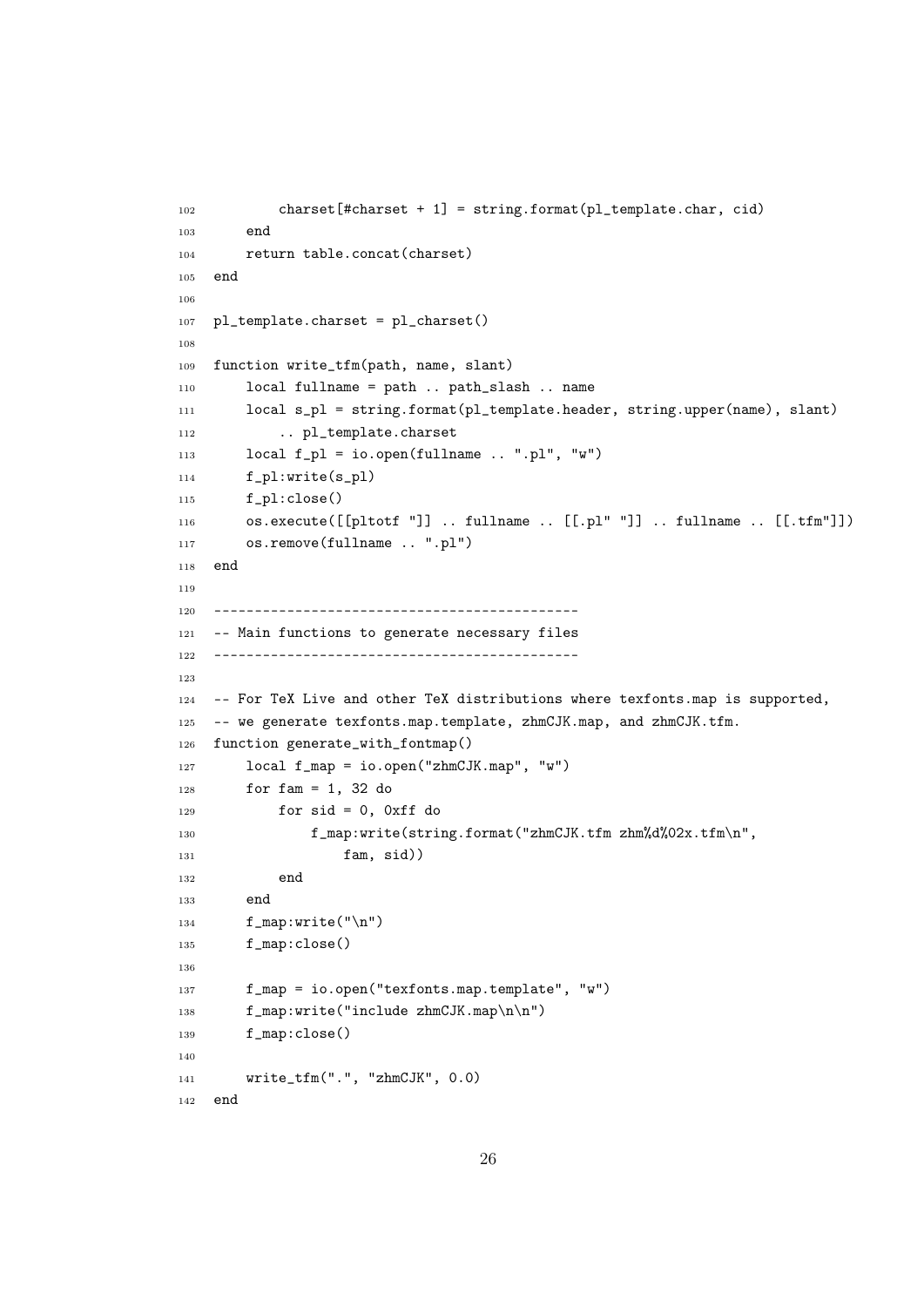```
102 charset [#charset + 1] = string.format (pl_template.char, cid)
103 end
104 return table.concat(charset)
105 end
106
107 pl_template.charset = pl_charset()
108
109 function write_tfm(path, name, slant)
110 local fullname = path .. path_slash .. name
111 local s_pl = string.format(pl_template.header, string.upper(name), slant)
112 .. pl_template.charset
113 \text{local } f\_pl = \text{io.open}(fullname ... "pl", "w")114 f_pl:write(s_pl)
115 f_pl:close()
116 os.execute([[pltotf "]] .. fullname .. [[.pl" "]] .. fullname .. [[.tfm"]])
117 os.remove(fullname .. ".pl")
118 end
119
120 ---------------------------------------------
121 -- Main functions to generate necessary files
122 ---------------------------------------------
123
124 -- For TeX Live and other TeX distributions where texfonts.map is supported,
125 -- we generate texfonts.map.template, zhmCJK.map, and zhmCJK.tfm.
126 function generate_with_fontmap()
127 local f_map = io.open("zhmCJK.map", "w")
128 for f \text{ am} = 1, 32 do
129 for sid = 0, 0xff do
130 f_map:write(string.format("zhmCJK.tfm zhm%d%02x.tfm\n",
131 fam, sid)
132 end
133 end
134 f_map:write("\n\chin")
135 f_map:close()
136
137 f_map = io.open("texfonts.map.template", "w")
138 f_map:write("include zhmCJK.map\n\n")
139 f_map:close()
140
141 write_tfm(".", "zhmCJK", 0.0)
142 end
```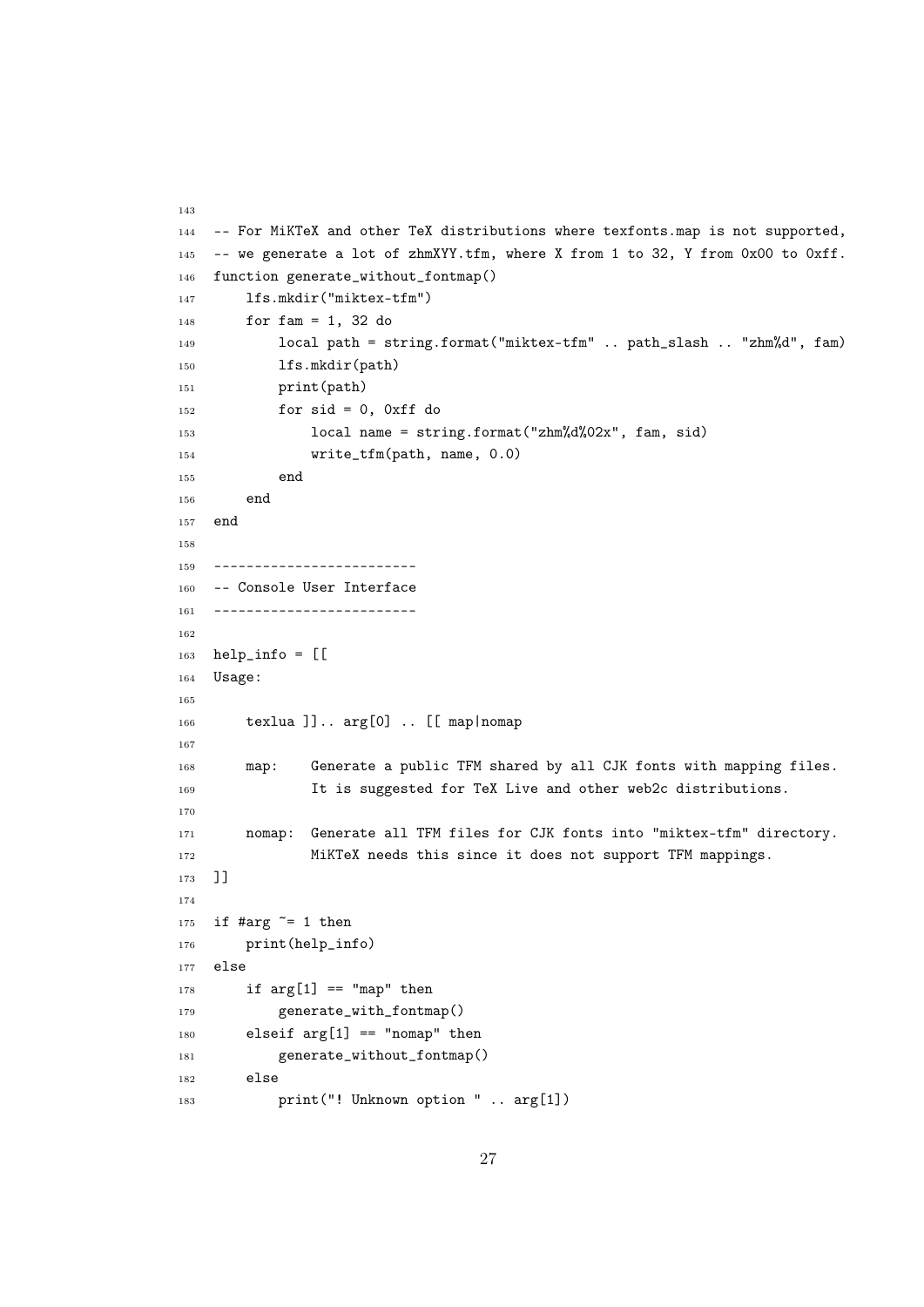```
143
144 -- For MiKTeX and other TeX distributions where texfonts.map is not supported,
145 -- we generate a lot of zhmXYY.tfm, where X from 1 to 32, Y from 0x00 to 0xff.
146 function generate_without_fontmap()
147 lfs.mkdir("miktex-tfm")
148 for fam = 1, 32 do
149 local path = string.format("miktex-tfm" .. path_slash .. "zhm%d", fam)
150 lfs.mkdir(path)
151 print(path)
152 for sid = 0, 0xff do
153 local name = string.format("zhm%d%02x", fam, sid)
154 write_tfm(path, name, 0.0)
155 end
156 end
157 end
158
159 -------------------------
160 -- Console User Interface
161 -------------------------
162
163 help_info = [[
164 Usage:
165
166 texlua ]].. arg[0] .. [[ map|nomap
167
168 map: Generate a public TFM shared by all CJK fonts with mapping files.
169 It is suggested for TeX Live and other web2c distributions.
170
171 nomap: Generate all TFM files for CJK fonts into "miktex-tfm" directory.
172 MiKTeX needs this since it does not support TFM mappings.
173 ]]
174
175 if #arg \tilde{=} 1 then
176 print(help_info)
177 else
178 if \arg[1] == \texttt{''map''} then
179 generate_with_fontmap()
180 elseif arg[1] == "nomap" then
181 generate_without_fontmap()
182 else
183 print("! Unknown option " .. arg[1])
```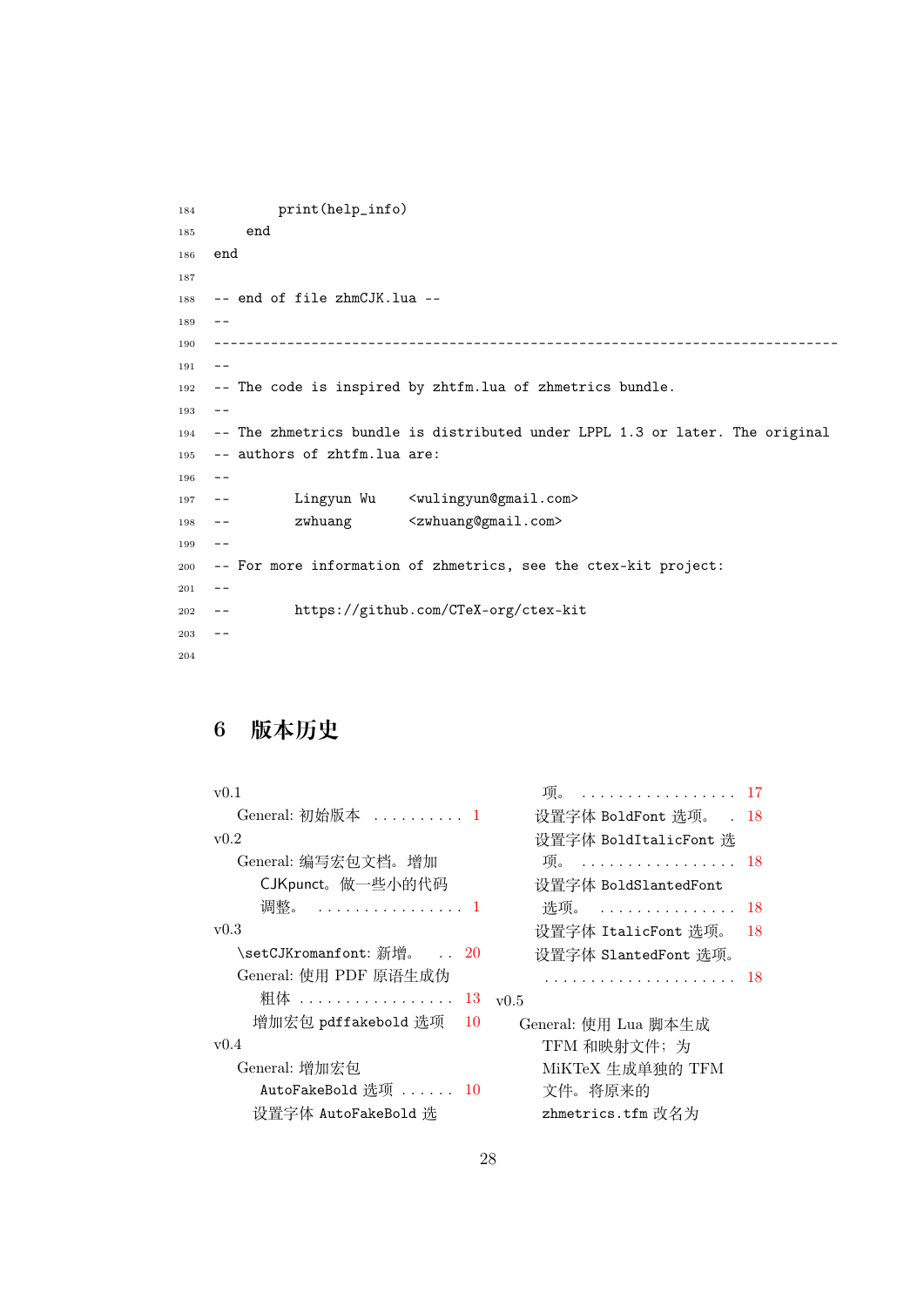```
184 print(help_info)
185 end
186 end
187
188 -- end of file zhmCJK.lua --
189 - -190 -----------------------------------------------------------------------------
191 - -192 -- The code is inspired by zhtfm.lua of zhmetrics bundle.
193 - -194 -- The zhmetrics bundle is distributed under LPPL 1.3 or later. The original
195 -- authors of zhtfm.lua are:
196 - -197 -- Lingyun Wu <wulingyun@gmail.com>
198 -- zwhuang <zwhuang@gmail.com>
199 - -200 -- For more information of zhmetrics, see the ctex-kit project:
201 - -202 -- https://github.com/CTeX-org/ctex-kit
203 - -204
```
# 6 **版本历史**

| v(0.1)                    | . 17<br>项。             |     |
|---------------------------|------------------------|-----|
| General: 初始版本  1          | 设置字体 BoldFont 选项。 . 18 |     |
| v0.2                      | 设置字体 BoldItalicFont 选  |     |
| General: 编写宏包文档。增加        | 项。……………………18           |     |
| CJKpunct。做一些小的代码          | 设置字体 BoldSlantedFont   |     |
| 调整。  1                    | 选项。  18                |     |
| v0.3                      | 设置字体 ItalicFont 选项。    | -18 |
| \setCJKromanfont: 新增。  20 | 设置字体 SlantedFont 选项。   |     |
| General: 使用 PDF 原语生成伪     | . 18                   |     |
| 粗体  13                    | v0.5                   |     |
| 增加宏包 pdffakebold 选项<br>10 | General: 使用 Lua 脚本生成   |     |
| v0.4                      | TFM 和映射文件;为            |     |
| General: 增加宏包             | MiKTeX 生成单独的 TFM       |     |
| AutoFakeBold 洗项 $10$      | 文件。将原来的                |     |
| 设置字体 AutoFakeBold 选       | zhmetrics.tfm 改名为      |     |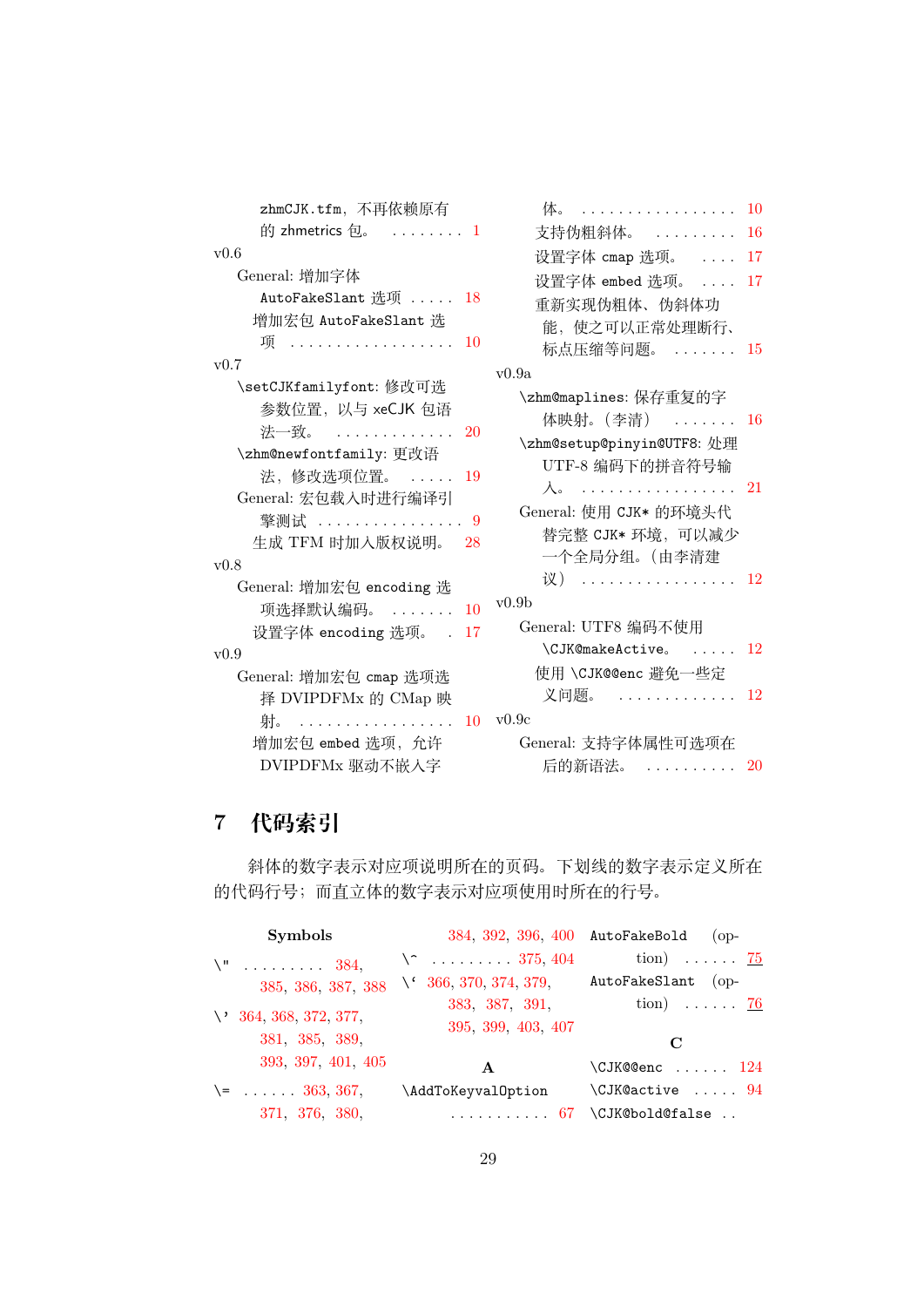| zhmCJK.tfm, 不再依赖原有                                                                                                                                                                                                           | 体。<br>. 10                                                                                                                                                                                   |  |
|------------------------------------------------------------------------------------------------------------------------------------------------------------------------------------------------------------------------------|----------------------------------------------------------------------------------------------------------------------------------------------------------------------------------------------|--|
| 的 zhmetrics 包。 $\ldots \ldots 1$                                                                                                                                                                                             | 支持伪粗斜体。  16                                                                                                                                                                                  |  |
| v0.6                                                                                                                                                                                                                         | 设置字体 cmap 选项。  17                                                                                                                                                                            |  |
| General: 增加字体                                                                                                                                                                                                                | 设置字体 embed 选项。  17                                                                                                                                                                           |  |
| AutoFakeSlant 选项  18                                                                                                                                                                                                         | 重新实现伪粗体、伪斜体功                                                                                                                                                                                 |  |
| 增加宏包 AutoFakeSlant 选                                                                                                                                                                                                         | 能, 使之可以正常处理断行、                                                                                                                                                                               |  |
| 项<br>10                                                                                                                                                                                                                      | 标点压缩等问题。  15                                                                                                                                                                                 |  |
| v0.7                                                                                                                                                                                                                         | v0.9a                                                                                                                                                                                        |  |
| \setCJKfamilyfont: 修改可选<br>参数位置, 以与 xeCJK 包语<br>法一致。<br><b>20</b><br>\zhm@newfontfamily: 更改语<br>法,修改选项位置。<br>19<br>General: 宏包载入时进行编译引<br>擎测试  9<br>生成 TFM 时加入版权说明。 28<br>v0.8<br>General: 增加宏包 encoding 选<br>项选择默认编码。<br>10 | \zhm@maplines: 保存重复的字<br>体映射。(李清)  16<br>\zhm@setup@pinyin@UTF8: 处理<br>UTF-8 编码下的拼音符号输<br>$\lambda$ . 21<br>General: 使用 CJK* 的环境头代<br>替完整 CJK* 环境, 可以减少<br>一个全局分组。(由李清建<br>议)  12<br>v(0.9b) |  |
| 设置字体 encoding 选项。 . 17                                                                                                                                                                                                       | General: UTF8 编码不使用                                                                                                                                                                          |  |
| v0.9                                                                                                                                                                                                                         | $\setminus$ CJK@makeActive。  12                                                                                                                                                              |  |
| General: 增加宏包 cmap 选项选<br>择 DVIPDFMx 的 CMap 映                                                                                                                                                                                | 使用 \CJK@@enc 避免一些定<br>义问题。<br>. 12                                                                                                                                                           |  |
| 射。……………………10                                                                                                                                                                                                                 | v0.9c                                                                                                                                                                                        |  |
| 增加宏包 embed 选项, 允许                                                                                                                                                                                                            | General: 支持字体属性可选项在                                                                                                                                                                          |  |
| DVIPDFMx 驱动不嵌入字                                                                                                                                                                                                              | 后的新语法。  20                                                                                                                                                                                   |  |

| 体。<br>.                                                     | 10 |
|-------------------------------------------------------------|----|
| 支持伪粗斜体。<br>.                                                | 16 |
| 设置字体 cmap 选项。<br>$\cdots$                                   | 17 |
| 设置字体 embed 选项。                                              | 17 |
| 重新实现伪粗体、伪斜体功                                                |    |
| 能,使之可以正常处理断行、                                               |    |
| 标点压缩等问题。                                                    | 15 |
| v0.9a                                                       |    |
| \zhm@maplines: 保存重复的字                                       |    |
| 体映射。(李清)<br>.                                               | 16 |
| \zhm@setup@pinyin@UTF8: 处理                                  |    |
| UTF-8 编码下的拼音符号输                                             |    |
| 入。<br>$\mathbb{R}^n$ . The set of the set of $\mathbb{R}^n$ | 21 |
| General: 使用 CJK* 的环境头代                                      |    |
| 替完整 CJK* 环境, 可以减少                                           |    |
| 一个全局分组。(由李清建                                                |    |
| 议)<br>$\cdot$                                               | 12 |
| v0.9b                                                       |    |
| General: UTF8 编码不使用                                         |    |
| \CJK@makeActive。                                            | 12 |
| 使用 \CJK@@enc 避免一些定                                          |    |
| 义问题。                                                        | 12 |
| v0.9c                                                       |    |
| General: 支持字体属性可选项在                                         |    |
| 后的新语法。                                                      | 20 |

# 7 **代码索引**

斜体的数字表示对应项说明所在的页码。下划线的数字表示定义所在 的代码行号;而直立体的数字表示对应项使用时所在的行号。

| <b>Symbols</b>                                   | 384, 392, 396, 400 AutoFakeBold  | $($ op-                    |
|--------------------------------------------------|----------------------------------|----------------------------|
| $\{\mathbb{I}^n : \dots : \dots : 384, \dots \}$ | $\setminus$ 375, 404             | tion) $\ldots$ 75          |
| 385, 386, 387, 388                               | $\backslash$ 366, 370, 374, 379, | AutoFakeSlant (op-         |
|                                                  | 383, 387, 391,                   | tion) $\ldots \ldots$ 76   |
| $\vee$ 364, 368, 372, 377,                       | 395, 399, 403, 407               |                            |
| 381, 385, 389,                                   |                                  | C                          |
| 393, 397, 401, 405                               | $\mathbf{A}$                     | $\Upsilon$ JK@@enc  124    |
| $\leftarrow$ 363, 367,                           | \AddToKeyvalOption               | $\setminus$ CJK@active  94 |
| 371, 376, 380,                                   | . 67                             | \CJK@bold@false            |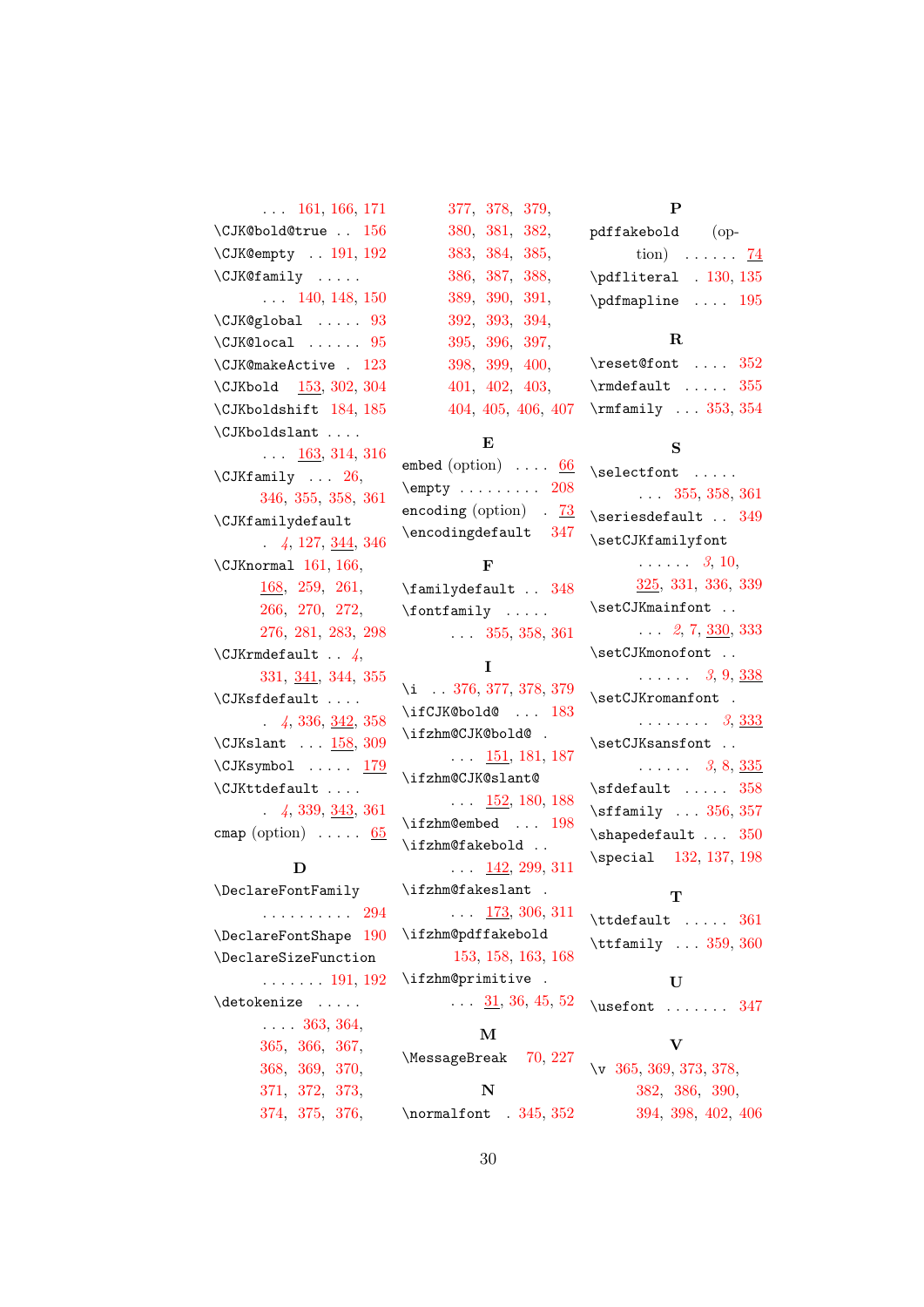### . . . 161, 166, 171 \CJK@bold@true . . 156 \CJK@empty . . 191, 192 \CJK@family . [. . .](#page-14-1) . . . . [140,](#page-13-0) 148, [150](#page-13-1) \CJK@global ..... [93](#page-15-2)  $\Upsilon$ JK@local . . . . . . 95 \CJK@makeA[ctiv](#page-12-0)[e](#page-13-2) . [123](#page-13-3) \CJKbold 153, 302, [304](#page-10-0) \CJKboldshift 184, [185](#page-10-1) \CJKboldslant . . . .  $\ldots$  [163,](#page-13-4) [314,](#page-18-1) [316](#page-18-2) \CJKfamily ... [26](#page-14-3), 346, 355, 358, [361](#page-14-4) \CJKfamily[defa](#page-14-5)[ult](#page-19-1) . *4*, 127, 3[44,](#page-4-0) [346](#page-19-2) \CJKn[orma](#page-20-0)l [16](#page-20-1)1, [166](#page-20-2)[,](#page-20-3) 168, 259, 261, 266, [270,](#page-12-1) [272](#page-20-4), 27[6,](#page-3-0) 2[81,](#page-13-0) [283,](#page-14-1) [298](#page-20-0) \CJKr[mdef](#page-14-6)a[ult](#page-17-1) . . *[4](#page-17-2)*, [331,](#page-17-3) [341,](#page-17-4) [344,](#page-17-5) 355  $\verb+\CJKsfdefault ...\,.$  $\verb+\CJKsfdefault ...\,.$  $\verb+\CJKsfdefault ...\,.$  $\verb+\CJKsfdefault ...\,.$  $\verb+\CJKsfdefault ...\,.$ . *4*, 336, 342, 358 \CJKs[lant](#page-19-3) ... [158](#page-20-6)[,](#page-3-1) [309](#page-20-1)  $\CJKsymbol \ldots 179$ \CJKttdefa[ult](#page-19-4) [. . .](#page-20-7) . . *[4](#page-3-2)*, 339, [343,](#page-13-5) [361](#page-19-5) cmap (option)  $\ldots$  . [65](#page-14-7)

#### D

\Declare[Fo](#page-3-3)[ntFa](#page-20-8)[mily](#page-20-9) . . . . . . . . . . [294](#page-9-2) \DeclareFontShape 190 \DeclareSizeFunction . . . . . . . 191, [192](#page-18-5) \detokenize ..... . . . . 363, 364[,](#page-15-3) 365, 366, [367](#page-15-1)[,](#page-15-2) 368, 369, 370, 371, [372,](#page-21-21) [373](#page-21-5), [374,](#page-21-22) [375,](#page-21-23) [376](#page-21-24),

### 377, 378, 379, 380, 381, 382, 383, 384, 385, [386,](#page-21-8) [387](#page-21-25), [388,](#page-21-26) [389,](#page-21-27) [390](#page-21-9), [391,](#page-21-28) [392,](#page-21-17) [393](#page-21-0), [394,](#page-21-1) [395,](#page-21-2) [396](#page-21-3), [397,](#page-21-4) [398,](#page-21-10) [399](#page-21-29), [400,](#page-21-18) [401,](#page-21-11) [402](#page-21-30), [403,](#page-21-31) [404,](#page-21-19) [405,](#page-21-12) [406,](#page-21-32) 407

#### [E](#page-21-20)

embed [\(opt](#page-21-33)i[on\)](#page-22-4)  $\ldots$  66 \empty [. .](#page-22-1) [. . .](#page-22-5) [. . .](#page-22-6) [208](#page-22-3) encoding (option)  $.73$ \encodingdefault [347](#page-9-3)

#### F

\familydefault . . [348](#page-9-4) \fontfamily . . . . . . . . 355, 358, 361

#### I

\i . . 376, 377, 378, 379 \ifCJK@bol[d@](#page-20-1) ... [183](#page-20-3) \ifzhm@CJK@bold@ .  $\ldots$  [151](#page-21-8), [181](#page-21-25), [187](#page-21-26) \ifzhm@CJK@slant@ . . . 152, 180, [188](#page-14-8) \ifzhm@emb[ed](#page-13-6) ... [198](#page-14-10) \ifzhm@fakebold .. . . . [142](#page-13-7), [299](#page-14-11), [311](#page-14-12) \ifzhm@fakeslant .  $\ldots$  173, 306, [311](#page-15-4) \ifzhm@pdf[fake](#page-12-2)[bold](#page-18-6) 153, 158, 163, [168](#page-19-6) \ifzhm@pri[miti](#page-14-13)[ve](#page-18-7) .

# . . . 31, 36, 45, [52](#page-19-6)

[M](#page-13-8) \MessageBreak 70, 227 N \normalfont . 345, 352

#### P

pdffakebold (option)  $\ldots$  . . . . . 74 \pdfliteral . 130, 135 \pdfmapline .... 195 R \reset@font ... [352](#page-12-4)  $\mathcal{I}$  .... [355](#page-15-5) \rmfamily . . . 353, 354

#### S

\selectfont ..... . . . 355, [358](#page-20-10), [361](#page-20-11) \seriesdefault . . 349 \setCJKfamilyfont . . . . [. .](#page-20-1) *3*, [10](#page-20-2)[,](#page-20-3) 325, 331, 336, [339](#page-20-12) \setCJKmainfont . . . . . *2*, 7, [3](#page-2-0)[30,](#page-3-4) 333 \setC[JKmo](#page-19-7)[nofo](#page-19-3)n[t](#page-19-4) .. . . . . . . *3*, 9, 338 \setCJKrom[an](#page-1-1)[fo](#page-3-5)[nt](#page-19-8) . . . . . . . . . *3*, 333 \setCJKsansfon[t](#page-2-1) [.](#page-3-6) . . . . . . . *3*, 8, 335 \sfdefault [.](#page-2-2).... [358](#page-19-9) \sffamily ... 356, 357 \shapedefault [.](#page-2-3).. [350](#page-19-10) \special 132, 137, [198](#page-20-2)

#### T

 $\label{eq:total}$ \ttfamily ... [359](#page-12-6), [360](#page-15-4)

#### U

\usefont . . . . . . . [347](#page-20-3)

#### V

\v 365, 369, 373, 378, 382, 386, 390[,](#page-20-14) 394, 398, 402, 406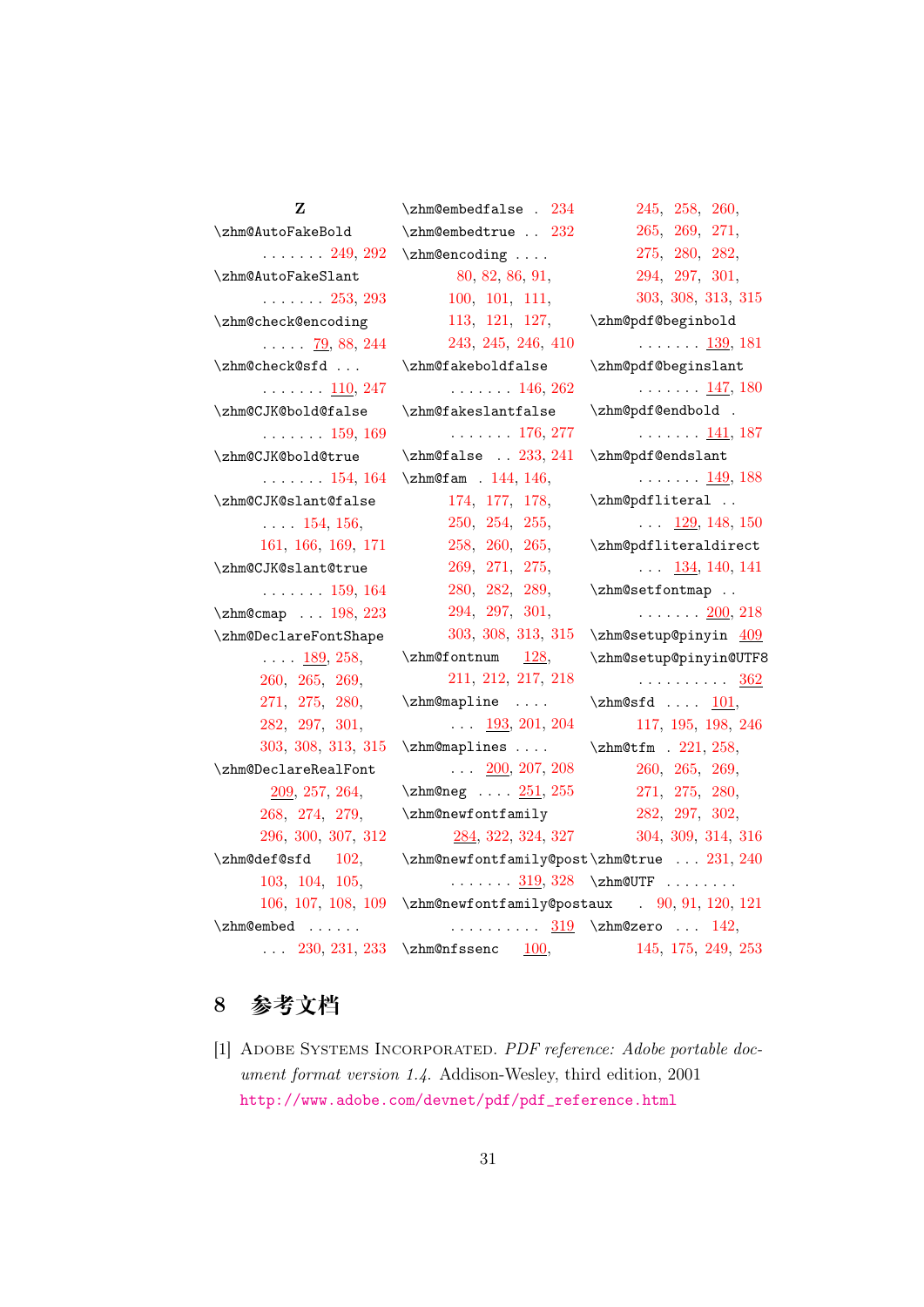Z \zhm@AutoFakeBold . . . . . . . 249, 292 \zhm@AutoFakeSlant . . . . . . . 253, 293 \zhm@check@enc[odin](#page-16-1)[g](#page-18-8) . . . . . 79, 88, 244 \zhm@check@sfd [. .](#page-17-7) . . . . . . . . 110, [247](#page-18-9) \zhm@CJK@bol[d@f](#page-10-2)[als](#page-10-3)[e](#page-16-2) . . . . . . . 159, 169 \zhm@CJK@bold@[true](#page-11-2) . . . . . . . 154, [164](#page-16-3) \zhm@CJK@slant[@fal](#page-13-9)[se](#page-14-14) . . . . 154, 156, 161, 166, [169,](#page-13-10) [171](#page-14-15) \zhm@CJK@slant@true . . . . [. . .](#page-13-10) [159,](#page-13-1) 164 \zhm@[cmap](#page-13-0) [. .](#page-14-1) . [198](#page-14-14), [223](#page-14-2) \zhm@DeclareFontShape  $\ldots$  . 189, [258](#page-13-9)[,](#page-14-15) 260, 265, [269](#page-15-4)[,](#page-16-4) 271, 275, 280, 282, [297,](#page-14-16) [301](#page-17-8), [303,](#page-17-9) [308,](#page-17-10) [313,](#page-17-11) 315 \zhm@[Decl](#page-17-12)a[reRe](#page-17-13)[alFo](#page-17-14)nt [20](#page-18-10)9, [257](#page-18-11), [264](#page-18-12), [268,](#page-18-13) [274](#page-19-11), [279](#page-19-12)[,](#page-19-13) 296, 300, 307, 312  $\lambda$  [102](#page-17-16), [103,](#page-17-17) [104,](#page-17-18) [105](#page-17-19), [106,](#page-18-14) [107,](#page-18-15) [108,](#page-18-16) [109](#page-19-14) \zhm@embed [. . .](#page-11-3) . . .  $\ldots$  [230,](#page-11-5) [231,](#page-11-6) 233 \zhm@nfssenc  $\frac{100}{100}$  $\frac{100}{100}$  $\frac{100}{100}$ \zhm@embedfalse . 234 \zhm@embedtrue . . 232 \zhm@encoding . . . . 80, 82, 86, 91[,](#page-16-5) 100, 101, 111[,](#page-16-6) 113, 121, 127, 2[43,](#page-10-4) [24](#page-10-5)5, [2](#page-10-6)[46,](#page-10-7) 410 \zhm@[fake](#page-10-8)b[oldf](#page-11-7)a[lse](#page-11-8) [. . .](#page-11-9) . [. . .](#page-11-10) [146,](#page-12-1) 262 \zhm@[fake](#page-16-7)[slan](#page-16-8)t[fals](#page-16-9)[e](#page-22-7) . . . . . . . 176, 277 \zhm@false . [233](#page-12-7), [241](#page-17-20) \zhm@fam . 144, 146, 174, 177, [178](#page-14-17)[,](#page-17-21) 250, 254, [255](#page-16-10)[,](#page-16-11) 258, [260,](#page-12-8) [265,](#page-12-7) [269,](#page-14-18) [271](#page-14-19), [275,](#page-14-20) [280,](#page-16-12) [282](#page-17-22), [289,](#page-17-23) [294,](#page-17-8) [297](#page-17-9), [301,](#page-17-10) [303,](#page-17-11) [308,](#page-17-12) [313,](#page-17-13) 315  $\lambda$  [128,](#page-18-17) [211,](#page-18-5) [212,](#page-18-11) [217,](#page-18-12) 218 \zhm@[mapl](#page-18-13)[ine](#page-19-11) .... . . . 193, [201,](#page-12-9) [204](#page-19-13) \zhm@[mapl](#page-15-7)[ines](#page-15-8) [. . .](#page-16-13) .  $\ldots$  200, 207, [208](#page-16-14) \zhm@neg ... [251](#page-15-10), [255](#page-15-11) \zhm@newfontfamily 284, [322](#page-15-12), [324](#page-15-13), [327](#page-15-14) \zhm@newfontfa[mily](#page-17-24)[@pos](#page-17-23)t\zhm@[true](#page-17-12) ... [231,](#page-17-14) 240 . [. . .](#page-18-1) . . .  $\underline{319}, 328$  \zhm@[UTF](#page-18-10) . . . . . . . . \zhm@n[ewfo](#page-18-18)[ntfa](#page-19-15)[mily](#page-19-16)[@pos](#page-19-17)taux ..........  $\underline{319}$  \zhm@zero ...  $142,$  $142,$ 245, 258, 260, 265, 269, 271, 275, 280, 282, [294](#page-16-8), [297](#page-17-8), [301,](#page-17-9) [303](#page-17-10), [308,](#page-17-11) [313,](#page-17-12) 315 \zhm@[pdf@](#page-17-13)b[egin](#page-17-14)b[old](#page-18-10) [. . .](#page-18-5) [. . .](#page-18-11) . <u>[139,](#page-18-12)</u> 181 \zhm@[pdf@](#page-18-13)[begi](#page-19-11)n[slan](#page-19-12)[t](#page-19-13)  $\ldots \ldots 147, 180$ \zhm@pdf@endbo[ld](#page-12-10) . . . . . . . . 141, 187 \zhm@pdf@endsl[ant](#page-13-11)  $\ldots \ldots \frac{149}{188}$ \zhm@pdfliteral [.](#page-12-11). . . . 129, 148, [150](#page-14-10) \zhm@pdflitera[ldir](#page-13-12)[ect](#page-14-12)  $\ldots$  134, 140, 141 \zhm@setfo[ntma](#page-12-12)p [.](#page-13-2). . . . . . . . 200, [218](#page-13-3) \zhm@setup[@pin](#page-12-13)[yin](#page-12-0) [409](#page-12-14) \zhm@setup@pinyin@UTF8 . . . . . . . [. . .](#page-15-15) [362](#page-16-14)  $\lambda$ ... 101[,](#page-22-8) 117, 195, 198, 246 \zhm@tfm . 221[,](#page-20-15) 258, 260, 265, [269,](#page-11-11) [271](#page-11-12), [275](#page-15-5), [280](#page-15-4)[,](#page-16-9) 282, [297,](#page-16-15) [302,](#page-17-8) [304](#page-17-9), [309,](#page-17-10) [314,](#page-17-11) 316 [.](#page-18-2) 90, [91](#page-19-5), [120](#page-19-1), [121](#page-19-2) 145, 175, 249, 253

## 8 **参考文档**

<span id="page-30-0"></span>[1] Adobe Systems Incorporated. *PDF reference: Adobe portable document format version 1.4*. Addison-Wesley, third edition, 2001 http://www.adobe.com/devnet/pdf/pdf\_reference.html